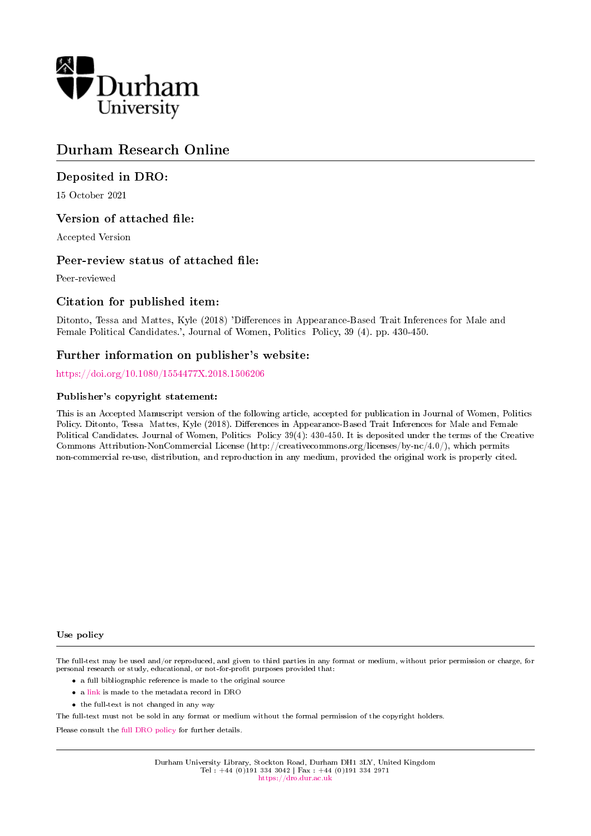

## Durham Research Online

## Deposited in DRO:

15 October 2021

## Version of attached file:

Accepted Version

## Peer-review status of attached file:

Peer-reviewed

## Citation for published item:

Ditonto, Tessa and Mattes, Kyle (2018) 'Differences in Appearance-Based Trait Inferences for Male and Female Political Candidates.', Journal of Women, Politics Policy, 39 (4). pp. 430-450.

## Further information on publisher's website:

<https://doi.org/10.1080/1554477X.2018.1506206>

#### Publisher's copyright statement:

This is an Accepted Manuscript version of the following article, accepted for publication in Journal of Women, Politics Policy. Ditonto, Tessa Mattes, Kyle (2018). Differences in Appearance-Based Trait Inferences for Male and Female Political Candidates. Journal of Women, Politics Policy 39(4): 430-450. It is deposited under the terms of the Creative Commons Attribution-NonCommercial License (http://creativecommons.org/licenses/by-nc/4.0/), which permits non-commercial re-use, distribution, and reproduction in any medium, provided the original work is properly cited.

#### Use policy

The full-text may be used and/or reproduced, and given to third parties in any format or medium, without prior permission or charge, for personal research or study, educational, or not-for-profit purposes provided that:

- a full bibliographic reference is made to the original source
- a [link](http://dro.dur.ac.uk/34197/) is made to the metadata record in DRO
- the full-text is not changed in any way

The full-text must not be sold in any format or medium without the formal permission of the copyright holders.

Please consult the [full DRO policy](https://dro.dur.ac.uk/policies/usepolicy.pdf) for further details.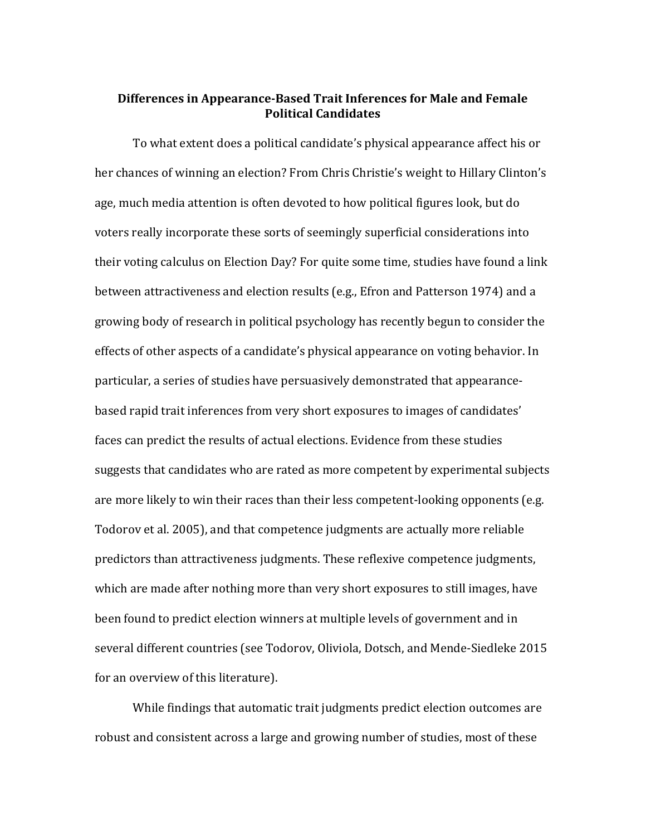## **Differences in Appearance-Based Trait Inferences for Male and Female Political Candidates**

To what extent does a political candidate's physical appearance affect his or her chances of winning an election? From Chris Christie's weight to Hillary Clinton's age, much media attention is often devoted to how political figures look, but do voters really incorporate these sorts of seemingly superficial considerations into their voting calculus on Election Day? For quite some time, studies have found a link between attractiveness and election results (e.g., Efron and Patterson 1974) and a growing body of research in political psychology has recently begun to consider the effects of other aspects of a candidate's physical appearance on voting behavior. In particular, a series of studies have persuasively demonstrated that appearancebased rapid trait inferences from very short exposures to images of candidates' faces can predict the results of actual elections. Evidence from these studies suggests that candidates who are rated as more competent by experimental subjects are more likely to win their races than their less competent-looking opponents (e.g. Todorov et al. 2005), and that competence judgments are actually more reliable predictors than attractiveness judgments. These reflexive competence judgments, which are made after nothing more than very short exposures to still images, have been found to predict election winners at multiple levels of government and in several different countries (see Todorov, Oliviola, Dotsch, and Mende-Siedleke 2015 for an overview of this literature).

While findings that automatic trait judgments predict election outcomes are robust and consistent across a large and growing number of studies, most of these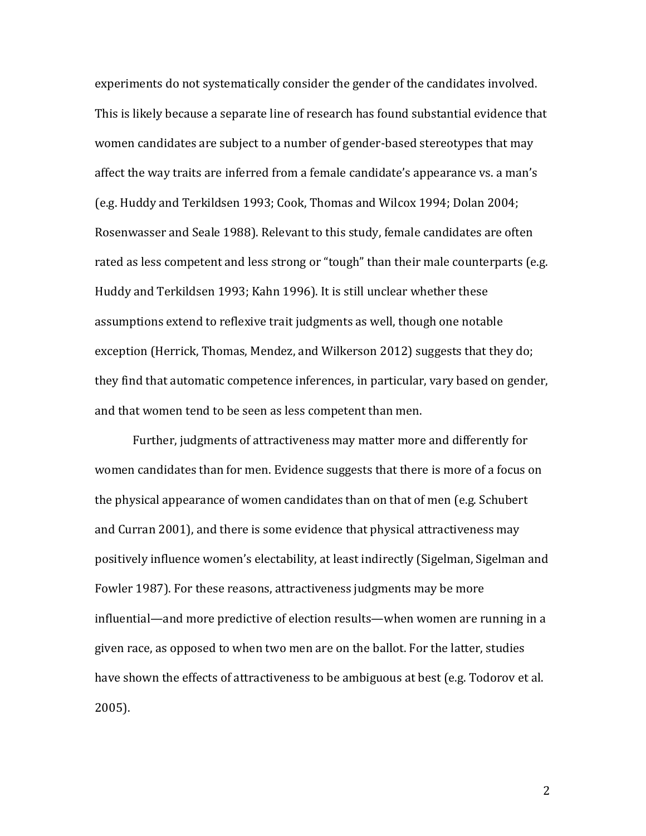experiments do not systematically consider the gender of the candidates involved. This is likely because a separate line of research has found substantial evidence that women candidates are subject to a number of gender-based stereotypes that may affect the way traits are inferred from a female candidate's appearance vs. a man's (e.g. Huddy and Terkildsen 1993; Cook, Thomas and Wilcox 1994; Dolan 2004; Rosenwasser and Seale 1988). Relevant to this study, female candidates are often rated as less competent and less strong or "tough" than their male counterparts (e.g. Huddy and Terkildsen 1993; Kahn 1996). It is still unclear whether these assumptions extend to reflexive trait judgments as well, though one notable exception (Herrick, Thomas, Mendez, and Wilkerson 2012) suggests that they do; they find that automatic competence inferences, in particular, vary based on gender, and that women tend to be seen as less competent than men.

Further, judgments of attractiveness may matter more and differently for women candidates than for men. Evidence suggests that there is more of a focus on the physical appearance of women candidates than on that of men (e.g. Schubert and Curran 2001), and there is some evidence that physical attractiveness may positively influence women's electability, at least indirectly (Sigelman, Sigelman and Fowler 1987). For these reasons, attractiveness judgments may be more influential—and more predictive of election results—when women are running in a given race, as opposed to when two men are on the ballot. For the latter, studies have shown the effects of attractiveness to be ambiguous at best (e.g. Todorov et al. 2005).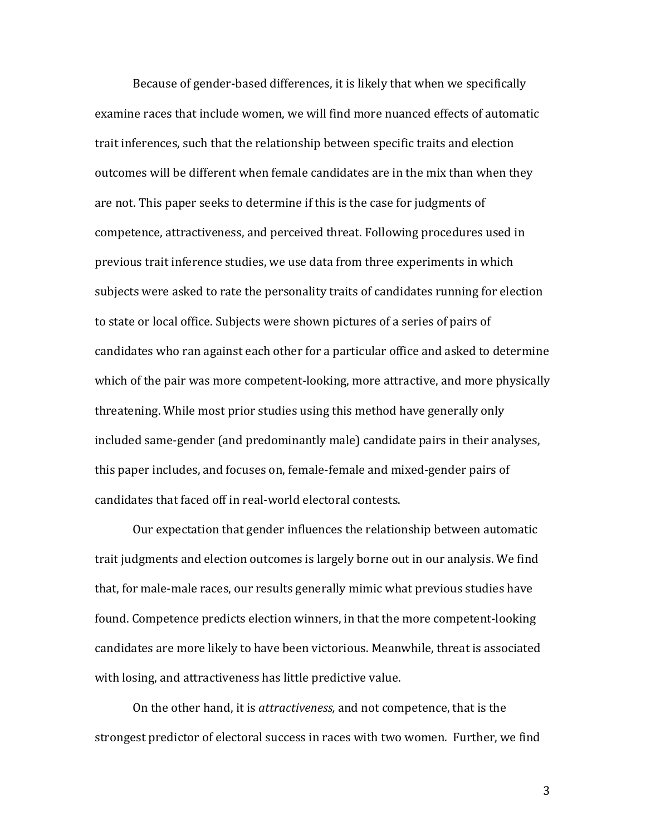Because of gender-based differences, it is likely that when we specifically examine races that include women, we will find more nuanced effects of automatic trait inferences, such that the relationship between specific traits and election outcomes will be different when female candidates are in the mix than when they are not. This paper seeks to determine if this is the case for judgments of competence, attractiveness, and perceived threat. Following procedures used in previous trait inference studies, we use data from three experiments in which subjects were asked to rate the personality traits of candidates running for election to state or local office. Subjects were shown pictures of a series of pairs of candidates who ran against each other for a particular office and asked to determine which of the pair was more competent-looking, more attractive, and more physically threatening. While most prior studies using this method have generally only included same-gender (and predominantly male) candidate pairs in their analyses, this paper includes, and focuses on, female-female and mixed-gender pairs of candidates that faced off in real-world electoral contests.

Our expectation that gender influences the relationship between automatic trait judgments and election outcomes is largely borne out in our analysis. We find that, for male-male races, our results generally mimic what previous studies have found. Competence predicts election winners, in that the more competent-looking candidates are more likely to have been victorious. Meanwhile, threat is associated with losing, and attractiveness has little predictive value.

On the other hand, it is *attractiveness,* and not competence, that is the strongest predictor of electoral success in races with two women. Further, we find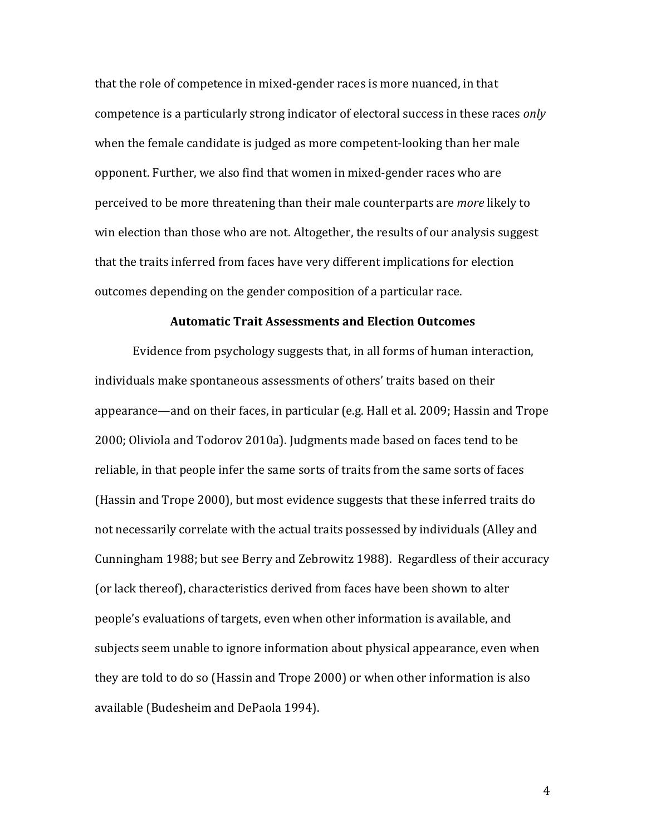that the role of competence in mixed-gender races is more nuanced, in that competence is a particularly strong indicator of electoral success in these races *only* when the female candidate is judged as more competent-looking than her male opponent. Further, we also find that women in mixed-gender races who are perceived to be more threatening than their male counterparts are *more* likely to win election than those who are not. Altogether, the results of our analysis suggest that the traits inferred from faces have very different implications for election outcomes depending on the gender composition of a particular race.

### **Automatic Trait Assessments and Election Outcomes**

Evidence from psychology suggests that, in all forms of human interaction, individuals make spontaneous assessments of others' traits based on their appearance—and on their faces, in particular (e.g. Hall et al. 2009; Hassin and Trope 2000; Oliviola and Todorov 2010a). Judgments made based on faces tend to be reliable, in that people infer the same sorts of traits from the same sorts of faces (Hassin and Trope 2000), but most evidence suggests that these inferred traits do not necessarily correlate with the actual traits possessed by individuals (Alley and Cunningham 1988; but see Berry and Zebrowitz 1988). Regardless of their accuracy (or lack thereof), characteristics derived from faces have been shown to alter people's evaluations of targets, even when other information is available, and subjects seem unable to ignore information about physical appearance, even when they are told to do so (Hassin and Trope 2000) or when other information is also available (Budesheim and DePaola 1994).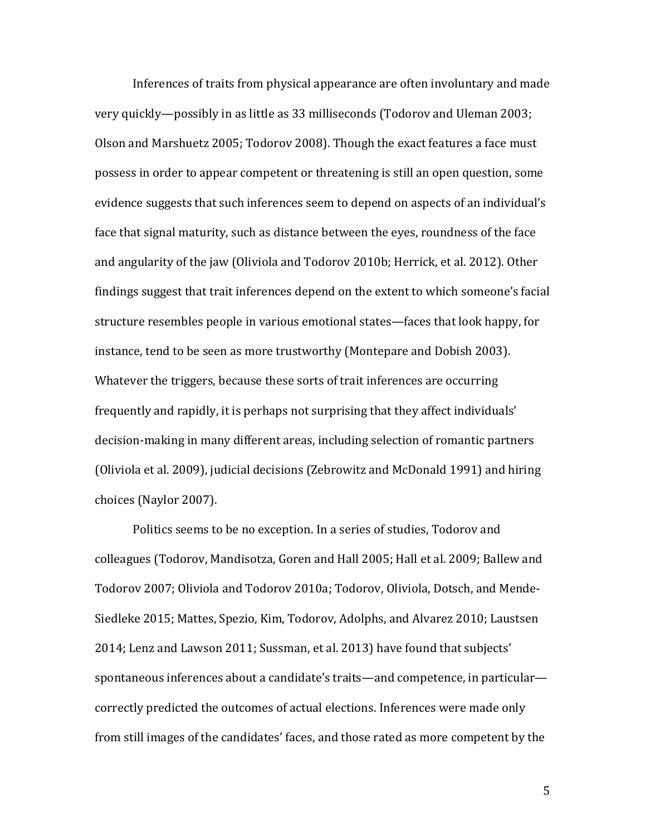Inferences of traits from physical appearance are often involuntary and made very quickly—possibly in as little as 33 milliseconds (Todorov and Uleman 2003; Olson and Marshuetz 2005; Todorov 2008). Though the exact features a face must possess in order to appear competent or threatening is still an open question, some evidence suggests that such inferences seem to depend on aspects of an individual's face that signal maturity, such as distance between the eyes, roundness of the face and angularity of the jaw (Oliviola and Todorov 2010b; Herrick, et al. 2012). Other findings suggest that trait inferences depend on the extent to which someone's facial structure resembles people in various emotional states—faces that look happy, for instance, tend to be seen as more trustworthy (Montepare and Dobish 2003). Whatever the triggers, because these sorts of trait inferences are occurring frequently and rapidly, it is perhaps not surprising that they affect individuals' decision-making in many different areas, including selection of romantic partners (Oliviola et al. 2009), judicial decisions (Zebrowitz and McDonald 1991) and hiring choices (Naylor 2007).

Politics seems to be no exception. In a series of studies, Todorov and colleagues (Todorov, Mandisotza, Goren and Hall 2005; Hall et al. 2009; Ballew and Todorov 2007; Oliviola and Todorov 2010a; Todorov, Oliviola, Dotsch, and Mende-Siedleke 2015; Mattes, Spezio, Kim, Todorov, Adolphs, and Alvarez 2010; Laustsen 2014; Lenz and Lawson 2011; Sussman, et al. 2013) have found that subjects' spontaneous inferences about a candidate's traits—and competence, in particular correctly predicted the outcomes of actual elections. Inferences were made only from still images of the candidates' faces, and those rated as more competent by the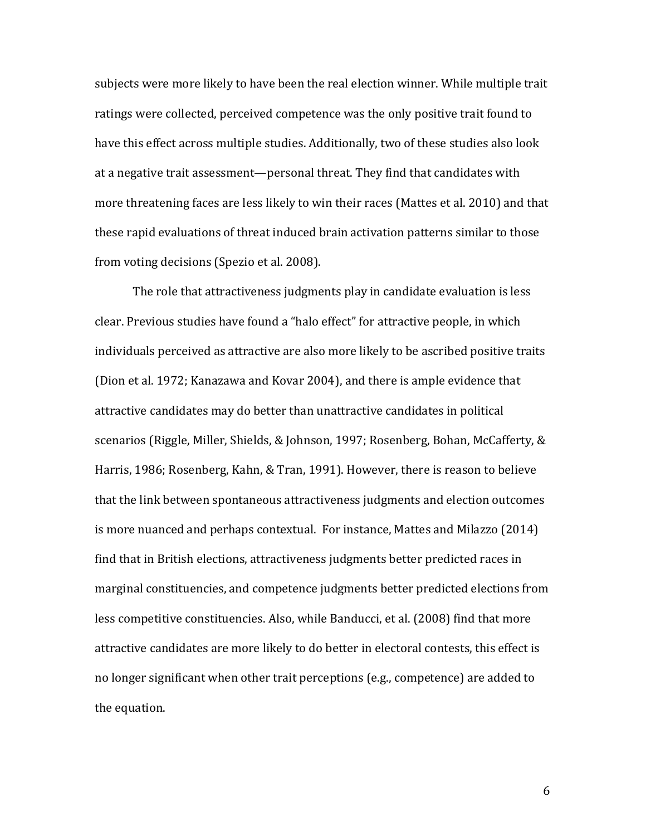subjects were more likely to have been the real election winner. While multiple trait ratings were collected, perceived competence was the only positive trait found to have this effect across multiple studies. Additionally, two of these studies also look at a negative trait assessment—personal threat. They find that candidates with more threatening faces are less likely to win their races (Mattes et al. 2010) and that these rapid evaluations of threat induced brain activation patterns similar to those from voting decisions (Spezio et al. 2008).

The role that attractiveness judgments play in candidate evaluation is less clear. Previous studies have found a "halo effect" for attractive people, in which individuals perceived as attractive are also more likely to be ascribed positive traits (Dion et al. 1972; Kanazawa and Kovar 2004), and there is ample evidence that attractive candidates may do better than unattractive candidates in political scenarios (Riggle, Miller, Shields, & [Johnson,](http://onlinelibrary.wiley.com/doi/10.1111/j.1467-9221.2008.00672.x/full#b31) 1997; Rosenberg, Bohan, [McCafferty,](http://onlinelibrary.wiley.com/doi/10.1111/j.1467-9221.2008.00672.x/full#b32) & [Harris,](http://onlinelibrary.wiley.com/doi/10.1111/j.1467-9221.2008.00672.x/full#b32) 1986; Rosenberg, Kahn, & Tran, 1991). However, there is reason to believe that the link between spontaneous attractiveness judgments and election outcomes is more nuanced and perhaps contextual. For instance, Mattes and Milazzo (2014) find that in British elections, attractiveness judgments better predicted races in marginal constituencies, and competence judgments better predicted elections from less competitive constituencies. Also, while Banducci, et al. (2008) find that more attractive candidates are more likely to do better in electoral contests, this effect is no longer significant when other trait perceptions (e.g., competence) are added to the equation.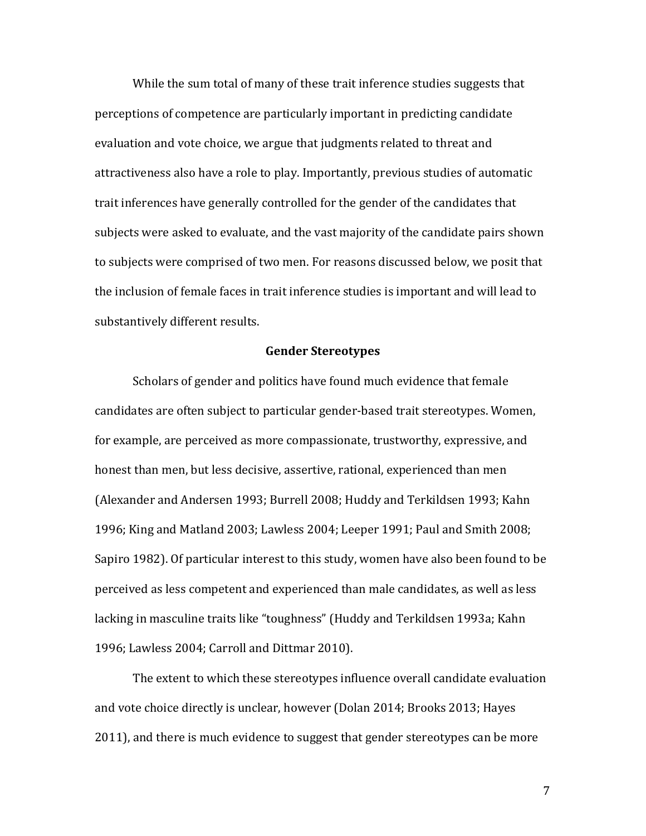While the sum total of many of these trait inference studies suggests that perceptions of competence are particularly important in predicting candidate evaluation and vote choice, we argue that judgments related to threat and attractiveness also have a role to play. Importantly, previous studies of automatic trait inferences have generally controlled for the gender of the candidates that subjects were asked to evaluate, and the vast majority of the candidate pairs shown to subjects were comprised of two men. For reasons discussed below, we posit that the inclusion of female faces in trait inference studies is important and will lead to substantively different results.

### **Gender Stereotypes**

Scholars of gender and politics have found much evidence that female candidates are often subject to particular gender-based trait stereotypes. Women, for example, are perceived as more compassionate, trustworthy, expressive, and honest than men, but less decisive, assertive, rational, experienced than men (Alexander and Andersen 1993; Burrell 2008; Huddy and Terkildsen 1993; Kahn 1996; King and Matland 2003; Lawless 2004; Leeper 1991; Paul and Smith 2008; Sapiro 1982). Of particular interest to this study, women have also been found to be perceived as less competent and experienced than male candidates, as well as less lacking in masculine traits like "toughness" (Huddy and Terkildsen 1993a; Kahn 1996; Lawless 2004; Carroll and Dittmar 2010).

The extent to which these stereotypes influence overall candidate evaluation and vote choice directly is unclear, however (Dolan 2014; Brooks 2013; Hayes 2011), and there is much evidence to suggest that gender stereotypes can be more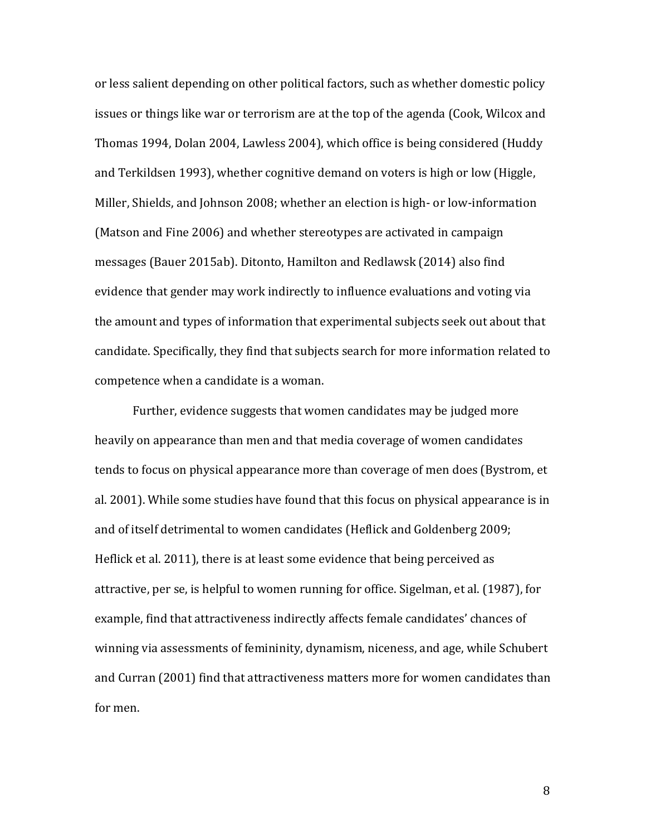or less salient depending on other political factors, such as whether domestic policy issues or things like war or terrorism are at the top of the agenda (Cook, Wilcox and Thomas 1994, Dolan 2004, Lawless 2004), which office is being considered (Huddy and Terkildsen 1993), whether cognitive demand on voters is high or low (Higgle, Miller, Shields, and Johnson 2008; whether an election is high- or low-information (Matson and Fine 2006) and whether stereotypes are activated in campaign messages (Bauer 2015ab). Ditonto, Hamilton and Redlawsk (2014) also find evidence that gender may work indirectly to influence evaluations and voting via the amount and types of information that experimental subjects seek out about that candidate. Specifically, they find that subjects search for more information related to competence when a candidate is a woman.

Further, evidence suggests that women candidates may be judged more heavily on appearance than men and that media coverage of women candidates tends to focus on physical appearance more than coverage of men does (Bystrom, et al. 2001). While some studies have found that this focus on physical appearance is in and of itself detrimental to women candidates (Heflick and Goldenberg 2009; Heflick et al. 2011), there is at least some evidence that being perceived as attractive, per se, is helpful to women running for office. Sigelman, et al. (1987), for example, find that attractiveness indirectly affects female candidates' chances of winning via assessments of femininity, dynamism, niceness, and age, while Schubert and Curran (2001) find that attractiveness matters more for women candidates than for men.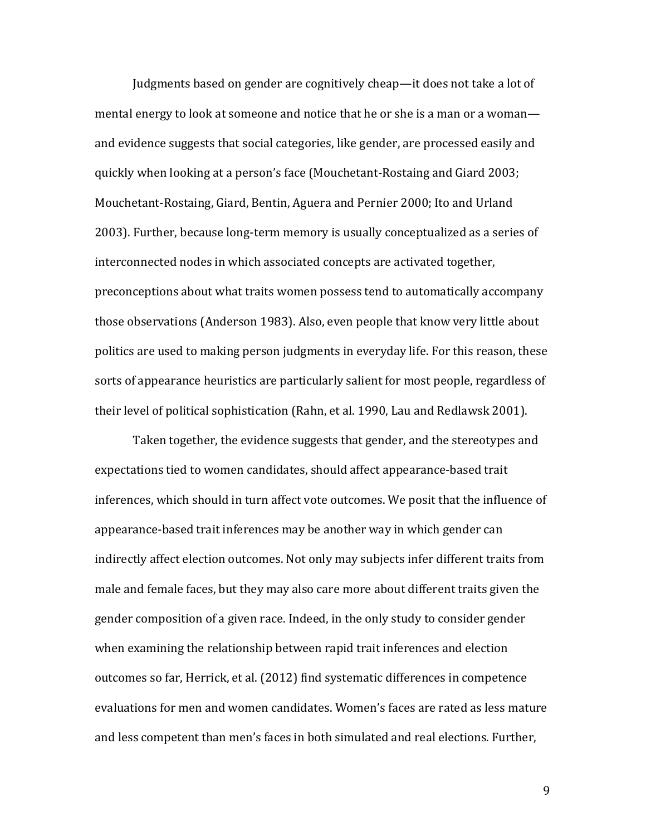Judgments based on gender are cognitively cheap—it does not take a lot of mental energy to look at someone and notice that he or she is a man or a woman and evidence suggests that social categories, like gender, are processed easily and quickly when looking at a person's face (Mouchetant-Rostaing and Giard 2003; Mouchetant-Rostaing, Giard, Bentin, Aguera and Pernier 2000; Ito and Urland 2003). Further, because long-term memory is usually conceptualized as a series of interconnected nodes in which associated concepts are activated together, preconceptions about what traits women possess tend to automatically accompany those observations (Anderson 1983). Also, even people that know very little about politics are used to making person judgments in everyday life. For this reason, these sorts of appearance heuristics are particularly salient for most people, regardless of their level of political sophistication (Rahn, et al. 1990, Lau and Redlawsk 2001).

Taken together, the evidence suggests that gender, and the stereotypes and expectations tied to women candidates, should affect appearance-based trait inferences, which should in turn affect vote outcomes. We posit that the influence of appearance-based trait inferences may be another way in which gender can indirectly affect election outcomes. Not only may subjects infer different traits from male and female faces, but they may also care more about different traits given the gender composition of a given race. Indeed, in the only study to consider gender when examining the relationship between rapid trait inferences and election outcomes so far, Herrick, et al. (2012) find systematic differences in competence evaluations for men and women candidates. Women's faces are rated as less mature and less competent than men's faces in both simulated and real elections. Further,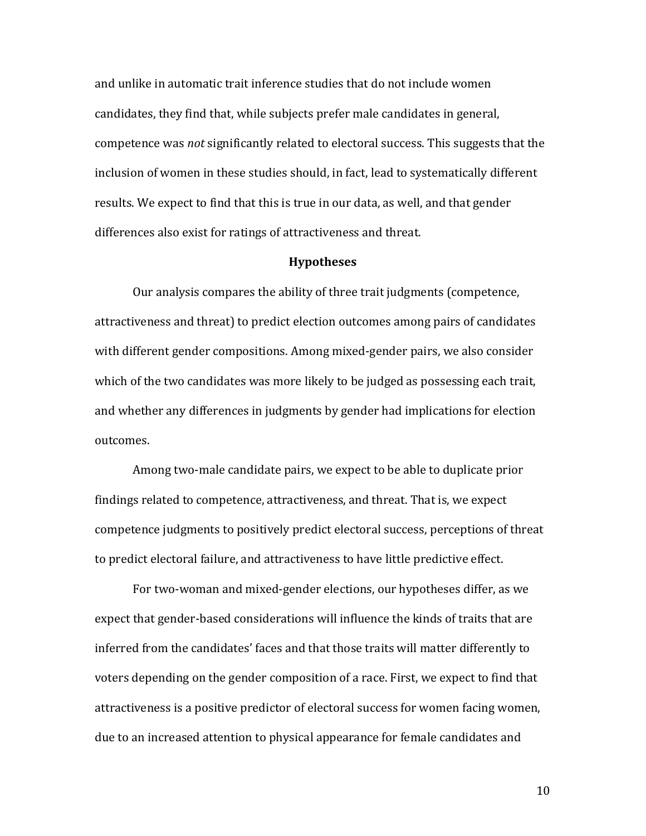and unlike in automatic trait inference studies that do not include women candidates, they find that, while subjects prefer male candidates in general, competence was *not* significantly related to electoral success. This suggests that the inclusion of women in these studies should, in fact, lead to systematically different results. We expect to find that this is true in our data, as well, and that gender differences also exist for ratings of attractiveness and threat.

### **Hypotheses**

Our analysis compares the ability of three trait judgments (competence, attractiveness and threat) to predict election outcomes among pairs of candidates with different gender compositions. Among mixed-gender pairs, we also consider which of the two candidates was more likely to be judged as possessing each trait, and whether any differences in judgments by gender had implications for election outcomes.

Among two-male candidate pairs, we expect to be able to duplicate prior findings related to competence, attractiveness, and threat. That is, we expect competence judgments to positively predict electoral success, perceptions of threat to predict electoral failure, and attractiveness to have little predictive effect.

For two-woman and mixed-gender elections, our hypotheses differ, as we expect that gender-based considerations will influence the kinds of traits that are inferred from the candidates' faces and that those traits will matter differently to voters depending on the gender composition of a race. First, we expect to find that attractiveness is a positive predictor of electoral success for women facing women, due to an increased attention to physical appearance for female candidates and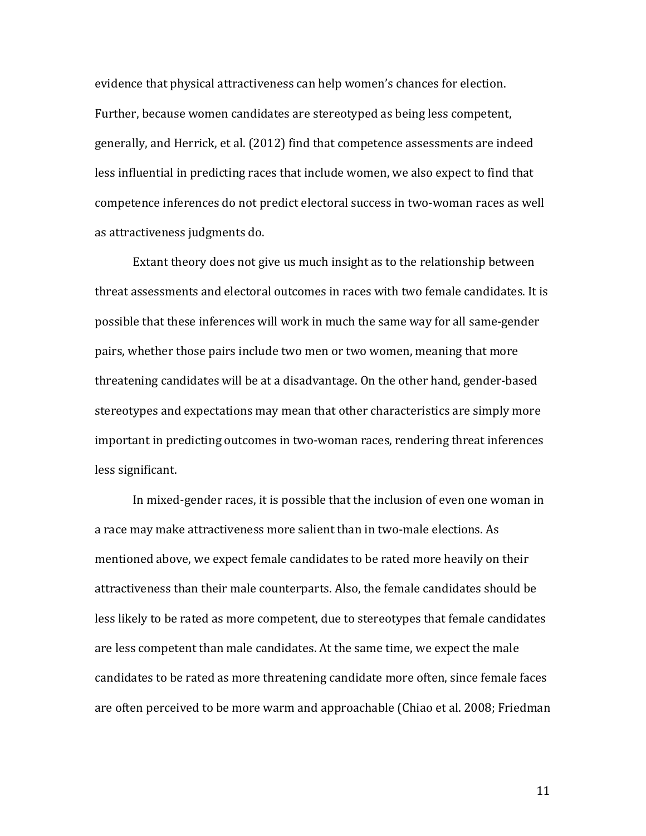evidence that physical attractiveness can help women's chances for election. Further, because women candidates are stereotyped as being less competent, generally, and Herrick, et al. (2012) find that competence assessments are indeed less influential in predicting races that include women, we also expect to find that competence inferences do not predict electoral success in two-woman races as well as attractiveness judgments do.

Extant theory does not give us much insight as to the relationship between threat assessments and electoral outcomes in races with two female candidates. It is possible that these inferences will work in much the same way for all same-gender pairs, whether those pairs include two men or two women, meaning that more threatening candidates will be at a disadvantage. On the other hand, gender-based stereotypes and expectations may mean that other characteristics are simply more important in predicting outcomes in two-woman races, rendering threat inferences less significant.

In mixed-gender races, it is possible that the inclusion of even one woman in a race may make attractiveness more salient than in two-male elections. As mentioned above, we expect female candidates to be rated more heavily on their attractiveness than their male counterparts. Also, the female candidates should be less likely to be rated as more competent, due to stereotypes that female candidates are less competent than male candidates. At the same time, we expect the male candidates to be rated as more threatening candidate more often, since female faces are often perceived to be more warm and approachable (Chiao et al. 2008; Friedman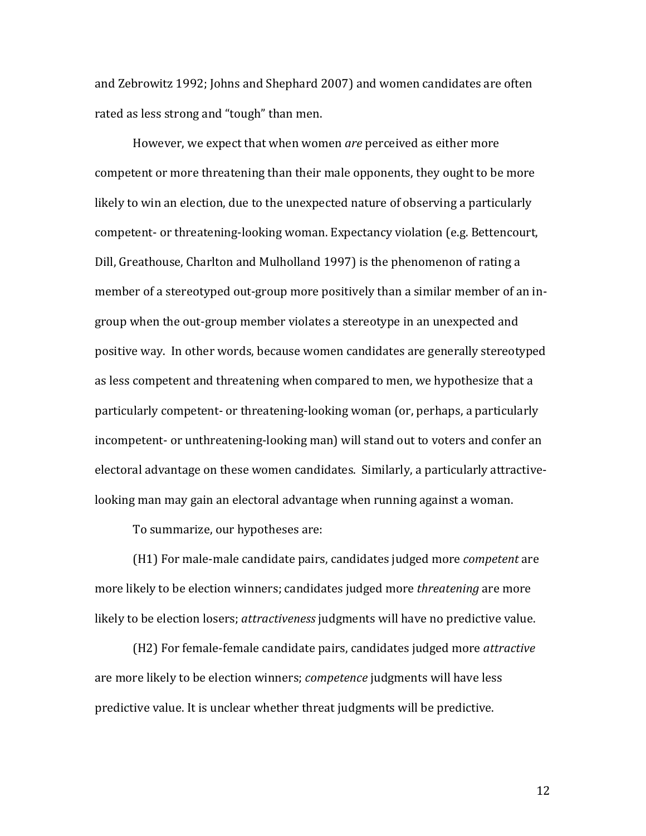and Zebrowitz 1992; Johns and Shephard 2007) and women candidates are often rated as less strong and "tough" than men.

However, we expect that when women *are* perceived as either more competent or more threatening than their male opponents, they ought to be more likely to win an election, due to the unexpected nature of observing a particularly competent- or threatening-looking woman. Expectancy violation (e.g. Bettencourt, Dill, Greathouse, Charlton and Mulholland 1997) is the phenomenon of rating a member of a stereotyped out-group more positively than a similar member of an ingroup when the out-group member violates a stereotype in an unexpected and positive way. In other words, because women candidates are generally stereotyped as less competent and threatening when compared to men, we hypothesize that a particularly competent- or threatening-looking woman (or, perhaps, a particularly incompetent- or unthreatening-looking man) will stand out to voters and confer an electoral advantage on these women candidates. Similarly, a particularly attractivelooking man may gain an electoral advantage when running against a woman.

To summarize, our hypotheses are:

(H1) For male-male candidate pairs, candidates judged more *competent* are more likely to be election winners; candidates judged more *threatening* are more likely to be election losers; *attractiveness* judgments will have no predictive value.

(H2) For female-female candidate pairs, candidates judged more *attractive* are more likely to be election winners; *competence* judgments will have less predictive value. It is unclear whether threat judgments will be predictive.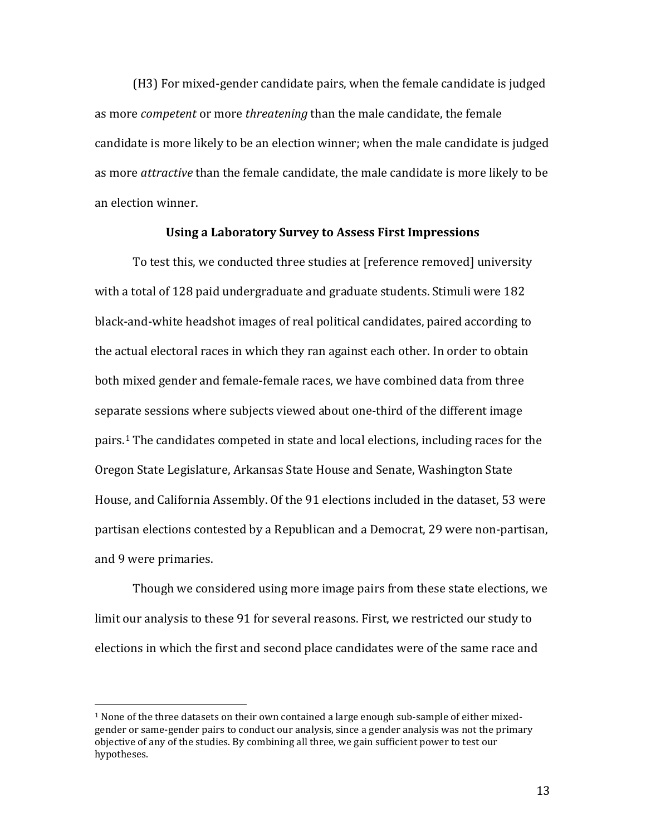(H3) For mixed-gender candidate pairs, when the female candidate is judged as more *competent* or more *threatening* than the male candidate, the female candidate is more likely to be an election winner; when the male candidate is judged as more *attractive* than the female candidate, the male candidate is more likely to be an election winner.

## **Using a Laboratory Survey to Assess First Impressions**

To test this, we conducted three studies at [reference removed] university with a total of 128 paid undergraduate and graduate students. Stimuli were 182 black-and-white headshot images of real political candidates, paired according to the actual electoral races in which they ran against each other. In order to obtain both mixed gender and female-female races, we have combined data from three separate sessions where subjects viewed about one-third of the different image pairs.[1](#page-13-0) The candidates competed in state and local elections, including races for the Oregon State Legislature, Arkansas State House and Senate, Washington State House, and California Assembly. Of the 91 elections included in the dataset, 53 were partisan elections contested by a Republican and a Democrat, 29 were non-partisan, and 9 were primaries.

Though we considered using more image pairs from these state elections, we limit our analysis to these 91 for several reasons. First, we restricted our study to elections in which the first and second place candidates were of the same race and

<span id="page-13-0"></span> $1$  None of the three datasets on their own contained a large enough sub-sample of either mixedgender or same-gender pairs to conduct our analysis, since a gender analysis was not the primary objective of any of the studies. By combining all three, we gain sufficient power to test our hypotheses.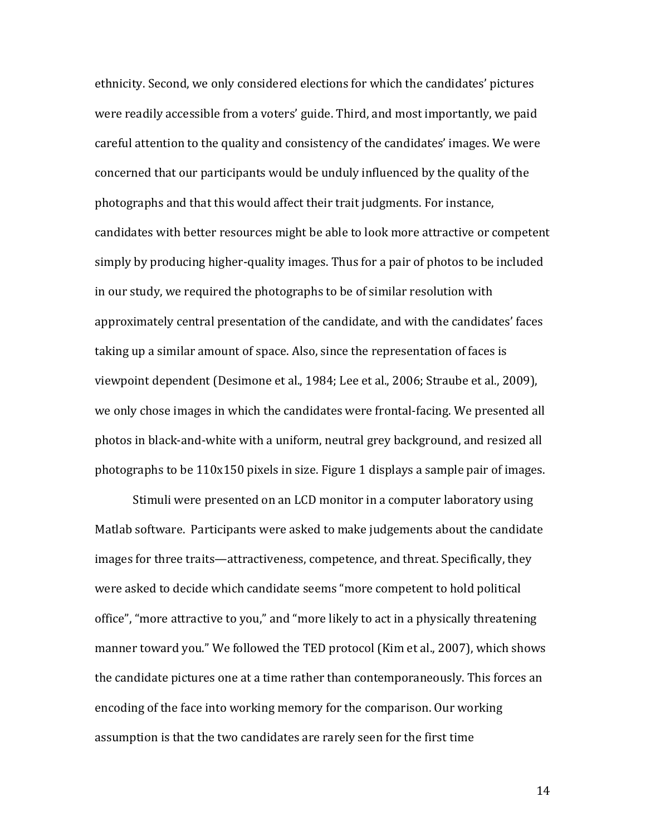ethnicity. Second, we only considered elections for which the candidates' pictures were readily accessible from a voters' guide. Third, and most importantly, we paid careful attention to the quality and consistency of the candidates' images. We were concerned that our participants would be unduly influenced by the quality of the photographs and that this would affect their trait judgments. For instance, candidates with better resources might be able to look more attractive or competent simply by producing higher-quality images. Thus for a pair of photos to be included in our study, we required the photographs to be of similar resolution with approximately central presentation of the candidate, and with the candidates' faces taking up a similar amount of space. Also, since the representation of faces is viewpoint dependent (Desimone et al., 1984; Lee et al., 2006; Straube et al., 2009), we only chose images in which the candidates were frontal-facing. We presented all photos in black-and-white with a uniform, neutral grey background, and resized all photographs to be 110x150 pixels in size. Figure 1 displays a sample pair of images.

Stimuli were presented on an LCD monitor in a computer laboratory using Matlab software. Participants were asked to make judgements about the candidate images for three traits—attractiveness, competence, and threat. Specifically, they were asked to decide which candidate seems "more competent to hold political office", "more attractive to you," and "more likely to act in a physically threatening manner toward you." We followed the TED protocol (Kim et al., 2007), which shows the candidate pictures one at a time rather than contemporaneously. This forces an encoding of the face into working memory for the comparison. Our working assumption is that the two candidates are rarely seen for the first time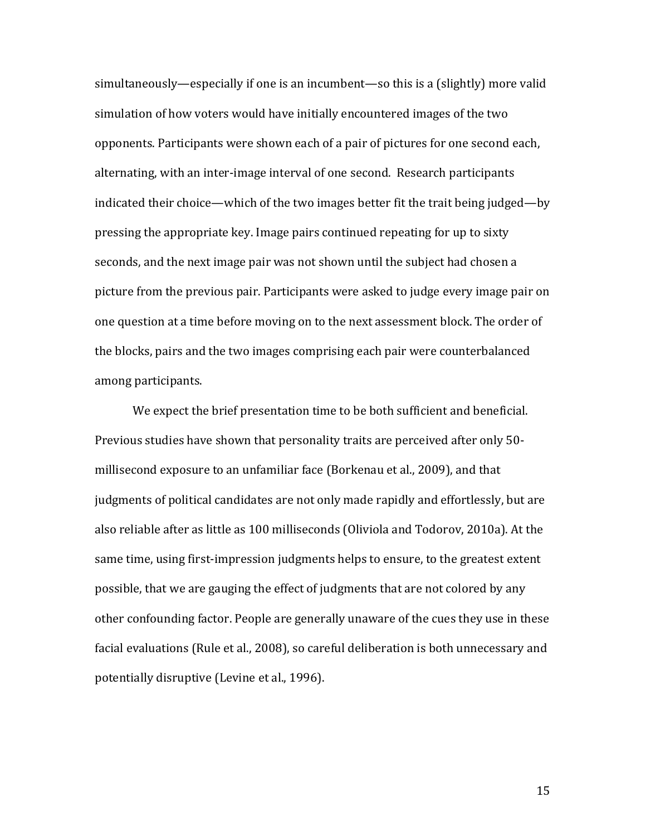simultaneously—especially if one is an incumbent—so this is a (slightly) more valid simulation of how voters would have initially encountered images of the two opponents. Participants were shown each of a pair of pictures for one second each, alternating, with an inter-image interval of one second. Research participants indicated their choice—which of the two images better fit the trait being judged—by pressing the appropriate key. Image pairs continued repeating for up to sixty seconds, and the next image pair was not shown until the subject had chosen a picture from the previous pair. Participants were asked to judge every image pair on one question at a time before moving on to the next assessment block. The order of the blocks, pairs and the two images comprising each pair were counterbalanced among participants.

We expect the brief presentation time to be both sufficient and beneficial. Previous studies have shown that personality traits are perceived after only 50 millisecond exposure to an unfamiliar face (Borkenau et al., 2009), and that judgments of political candidates are not only made rapidly and effortlessly, but are also reliable after as little as 100 milliseconds (Oliviola and Todorov, 2010a). At the same time, using first-impression judgments helps to ensure, to the greatest extent possible, that we are gauging the effect of judgments that are not colored by any other confounding factor. People are generally unaware of the cues they use in these facial evaluations (Rule et al., 2008), so careful deliberation is both unnecessary and potentially disruptive (Levine et al., 1996).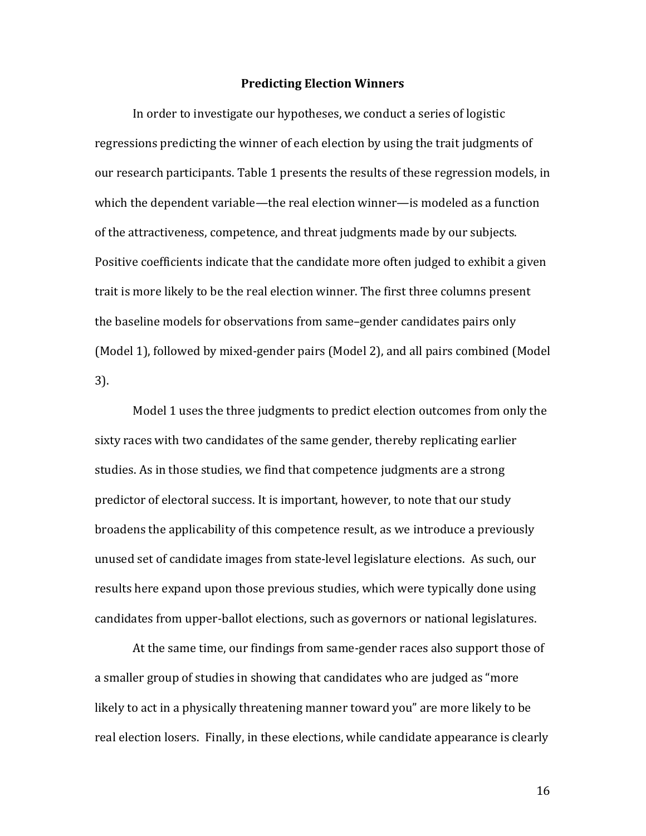#### **Predicting Election Winners**

In order to investigate our hypotheses, we conduct a series of logistic regressions predicting the winner of each election by using the trait judgments of our research participants. Table 1 presents the results of these regression models, in which the dependent variable—the real election winner—is modeled as a function of the attractiveness, competence, and threat judgments made by our subjects. Positive coefficients indicate that the candidate more often judged to exhibit a given trait is more likely to be the real election winner. The first three columns present the baseline models for observations from same–gender candidates pairs only (Model 1), followed by mixed-gender pairs (Model 2), and all pairs combined (Model 3).

Model 1 uses the three judgments to predict election outcomes from only the sixty races with two candidates of the same gender, thereby replicating earlier studies. As in those studies, we find that competence judgments are a strong predictor of electoral success. It is important, however, to note that our study broadens the applicability of this competence result, as we introduce a previously unused set of candidate images from state-level legislature elections. As such, our results here expand upon those previous studies, which were typically done using candidates from upper-ballot elections, such as governors or national legislatures.

At the same time, our findings from same-gender races also support those of a smaller group of studies in showing that candidates who are judged as "more likely to act in a physically threatening manner toward you" are more likely to be real election losers. Finally, in these elections, while candidate appearance is clearly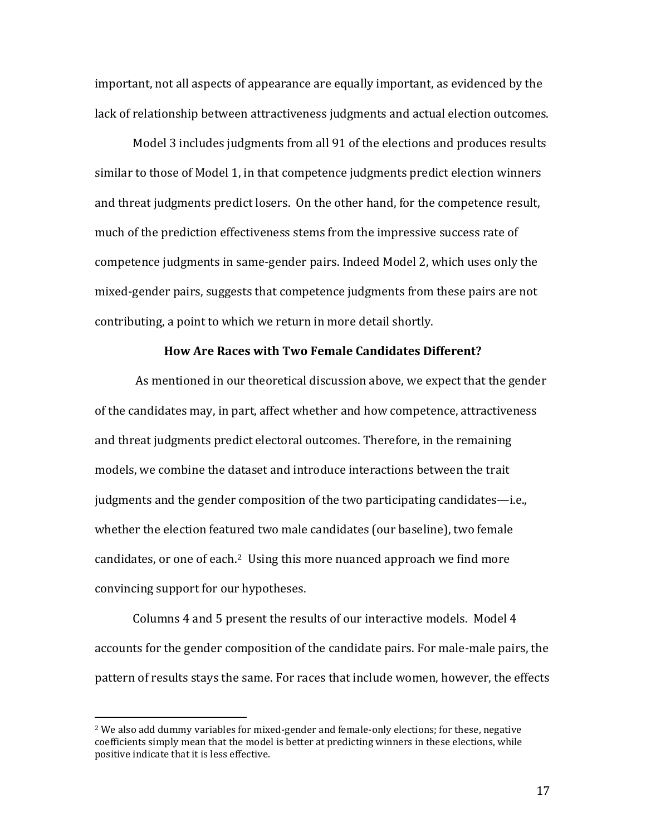important, not all aspects of appearance are equally important, as evidenced by the lack of relationship between attractiveness judgments and actual election outcomes.

Model 3 includes judgments from all 91 of the elections and produces results similar to those of Model 1, in that competence judgments predict election winners and threat judgments predict losers. On the other hand, for the competence result, much of the prediction effectiveness stems from the impressive success rate of competence judgments in same-gender pairs. Indeed Model 2, which uses only the mixed-gender pairs, suggests that competence judgments from these pairs are not contributing, a point to which we return in more detail shortly.

### **How Are Races with Two Female Candidates Different?**

As mentioned in our theoretical discussion above, we expect that the gender of the candidates may, in part, affect whether and how competence, attractiveness and threat judgments predict electoral outcomes. Therefore, in the remaining models, we combine the dataset and introduce interactions between the trait judgments and the gender composition of the two participating candidates—i.e., whether the election featured two male candidates (our baseline), two female candidates, or one of each.<sup>[2](#page-17-0)</sup> Using this more nuanced approach we find more convincing support for our hypotheses.

Columns 4 and 5 present the results of our interactive models. Model 4 accounts for the gender composition of the candidate pairs. For male-male pairs, the pattern of results stays the same. For races that include women, however, the effects

<span id="page-17-0"></span> $2$  We also add dummy variables for mixed-gender and female-only elections; for these, negative coefficients simply mean that the model is better at predicting winners in these elections, while positive indicate that it is less effective.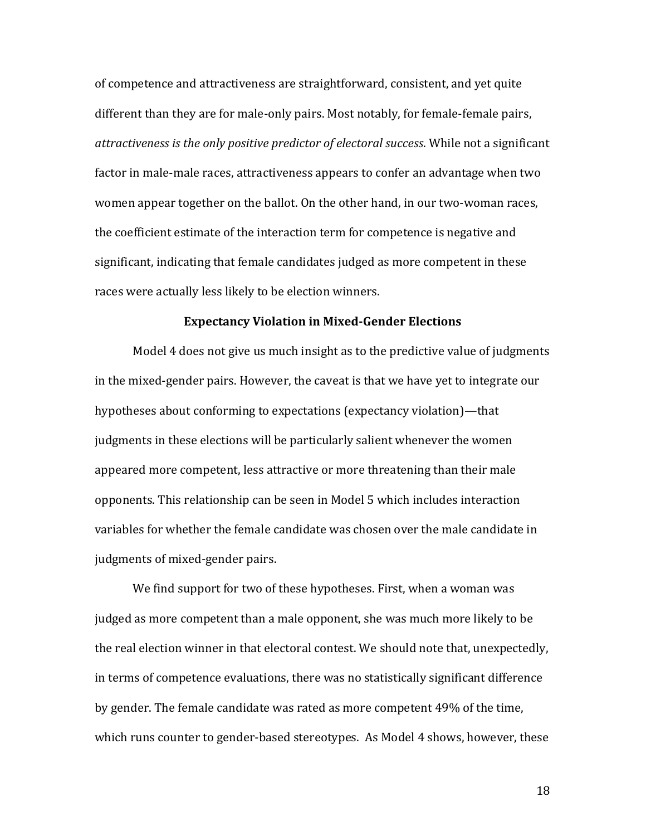of competence and attractiveness are straightforward, consistent, and yet quite different than they are for male-only pairs. Most notably, for female-female pairs, *attractiveness is the only positive predictor of electoral success*. While not a significant factor in male-male races, attractiveness appears to confer an advantage when two women appear together on the ballot. On the other hand, in our two-woman races, the coefficient estimate of the interaction term for competence is negative and significant, indicating that female candidates judged as more competent in these races were actually less likely to be election winners.

#### **Expectancy Violation in Mixed-Gender Elections**

Model 4 does not give us much insight as to the predictive value of judgments in the mixed-gender pairs. However, the caveat is that we have yet to integrate our hypotheses about conforming to expectations (expectancy violation)—that judgments in these elections will be particularly salient whenever the women appeared more competent, less attractive or more threatening than their male opponents. This relationship can be seen in Model 5 which includes interaction variables for whether the female candidate was chosen over the male candidate in judgments of mixed-gender pairs.

We find support for two of these hypotheses. First, when a woman was judged as more competent than a male opponent, she was much more likely to be the real election winner in that electoral contest. We should note that, unexpectedly, in terms of competence evaluations, there was no statistically significant difference by gender. The female candidate was rated as more competent 49% of the time, which runs counter to gender-based stereotypes. As Model 4 shows, however, these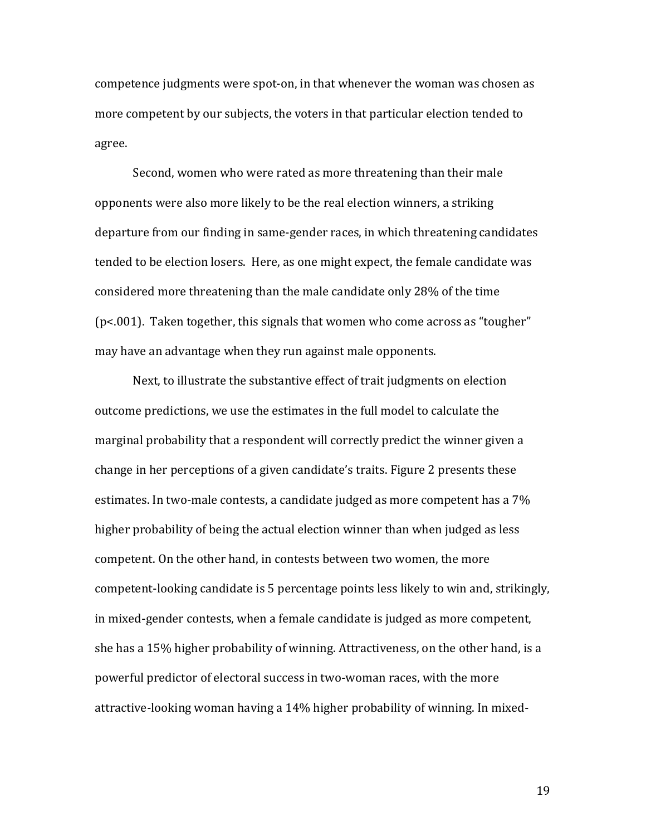competence judgments were spot-on, in that whenever the woman was chosen as more competent by our subjects, the voters in that particular election tended to agree.

Second, women who were rated as more threatening than their male opponents were also more likely to be the real election winners, a striking departure from our finding in same-gender races, in which threatening candidates tended to be election losers. Here, as one might expect, the female candidate was considered more threatening than the male candidate only 28% of the time (p<.001). Taken together, this signals that women who come across as "tougher" may have an advantage when they run against male opponents.

Next, to illustrate the substantive effect of trait judgments on election outcome predictions, we use the estimates in the full model to calculate the marginal probability that a respondent will correctly predict the winner given a change in her perceptions of a given candidate's traits. Figure 2 presents these estimates. In two-male contests, a candidate judged as more competent has a 7% higher probability of being the actual election winner than when judged as less competent. On the other hand, in contests between two women, the more competent-looking candidate is 5 percentage points less likely to win and, strikingly, in mixed-gender contests, when a female candidate is judged as more competent, she has a 15% higher probability of winning. Attractiveness, on the other hand, is a powerful predictor of electoral success in two-woman races, with the more attractive-looking woman having a 14% higher probability of winning. In mixed-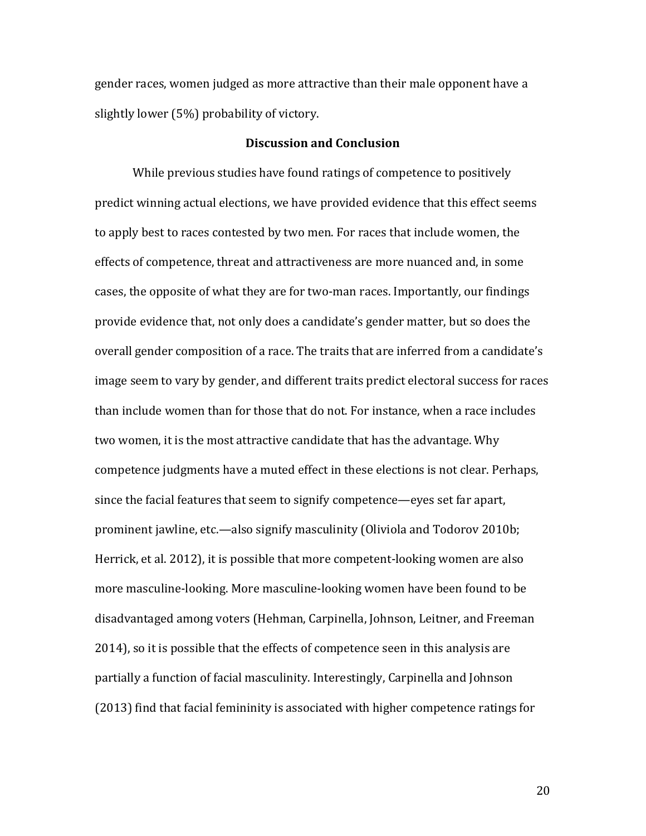gender races, women judged as more attractive than their male opponent have a slightly lower (5%) probability of victory.

### **Discussion and Conclusion**

While previous studies have found ratings of competence to positively predict winning actual elections, we have provided evidence that this effect seems to apply best to races contested by two men. For races that include women, the effects of competence, threat and attractiveness are more nuanced and, in some cases, the opposite of what they are for two-man races. Importantly, our findings provide evidence that, not only does a candidate's gender matter, but so does the overall gender composition of a race. The traits that are inferred from a candidate's image seem to vary by gender, and different traits predict electoral success for races than include women than for those that do not. For instance, when a race includes two women, it is the most attractive candidate that has the advantage. Why competence judgments have a muted effect in these elections is not clear. Perhaps, since the facial features that seem to signify competence—eyes set far apart, prominent jawline, etc.—also signify masculinity (Oliviola and Todorov 2010b; Herrick, et al. 2012), it is possible that more competent-looking women are also more masculine-looking. More masculine-looking women have been found to be disadvantaged among voters (Hehman, Carpinella, Johnson, Leitner, and Freeman 2014), so it is possible that the effects of competence seen in this analysis are partially a function of facial masculinity. Interestingly, Carpinella and Johnson (2013) find that facial femininity is associated with higher competence ratings for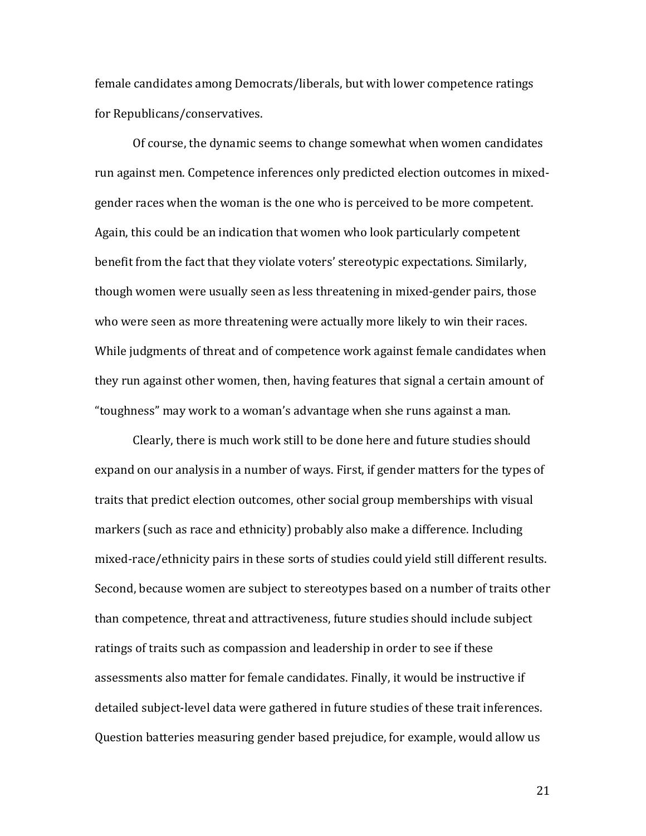female candidates among Democrats/liberals, but with lower competence ratings for Republicans/conservatives.

Of course, the dynamic seems to change somewhat when women candidates run against men. Competence inferences only predicted election outcomes in mixedgender races when the woman is the one who is perceived to be more competent. Again, this could be an indication that women who look particularly competent benefit from the fact that they violate voters' stereotypic expectations. Similarly, though women were usually seen as less threatening in mixed-gender pairs, those who were seen as more threatening were actually more likely to win their races. While judgments of threat and of competence work against female candidates when they run against other women, then, having features that signal a certain amount of "toughness" may work to a woman's advantage when she runs against a man.

Clearly, there is much work still to be done here and future studies should expand on our analysis in a number of ways. First, if gender matters for the types of traits that predict election outcomes, other social group memberships with visual markers (such as race and ethnicity) probably also make a difference. Including mixed-race/ethnicity pairs in these sorts of studies could yield still different results. Second, because women are subject to stereotypes based on a number of traits other than competence, threat and attractiveness, future studies should include subject ratings of traits such as compassion and leadership in order to see if these assessments also matter for female candidates. Finally, it would be instructive if detailed subject-level data were gathered in future studies of these trait inferences. Question batteries measuring gender based prejudice, for example, would allow us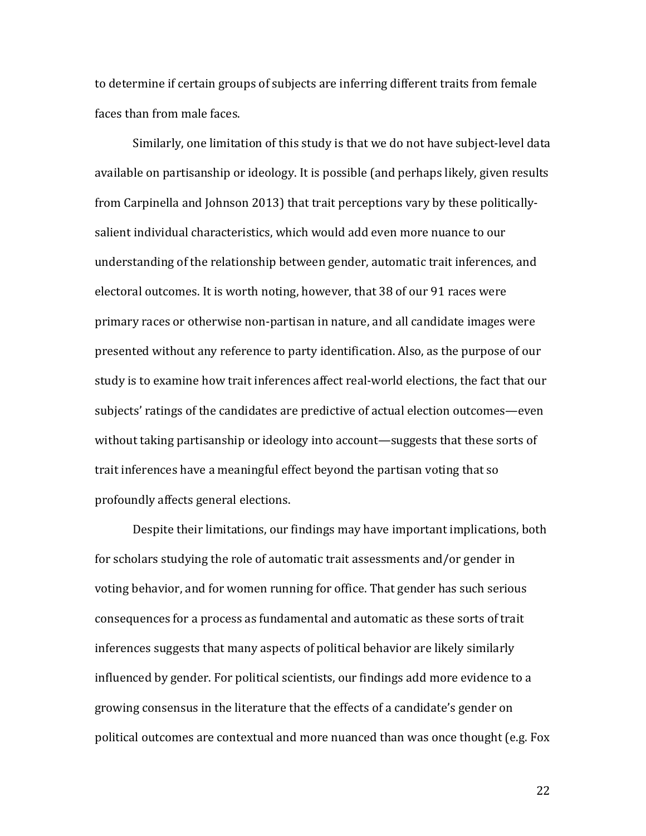to determine if certain groups of subjects are inferring different traits from female faces than from male faces.

Similarly, one limitation of this study is that we do not have subject-level data available on partisanship or ideology. It is possible (and perhaps likely, given results from Carpinella and Johnson 2013) that trait perceptions vary by these politicallysalient individual characteristics, which would add even more nuance to our understanding of the relationship between gender, automatic trait inferences, and electoral outcomes. It is worth noting, however, that 38 of our 91 races were primary races or otherwise non-partisan in nature, and all candidate images were presented without any reference to party identification. Also, as the purpose of our study is to examine how trait inferences affect real-world elections, the fact that our subjects' ratings of the candidates are predictive of actual election outcomes—even without taking partisanship or ideology into account—suggests that these sorts of trait inferences have a meaningful effect beyond the partisan voting that so profoundly affects general elections.

Despite their limitations, our findings may have important implications, both for scholars studying the role of automatic trait assessments and/or gender in voting behavior, and for women running for office. That gender has such serious consequences for a process as fundamental and automatic as these sorts of trait inferences suggests that many aspects of political behavior are likely similarly influenced by gender. For political scientists, our findings add more evidence to a growing consensus in the literature that the effects of a candidate's gender on political outcomes are contextual and more nuanced than was once thought (e.g. Fox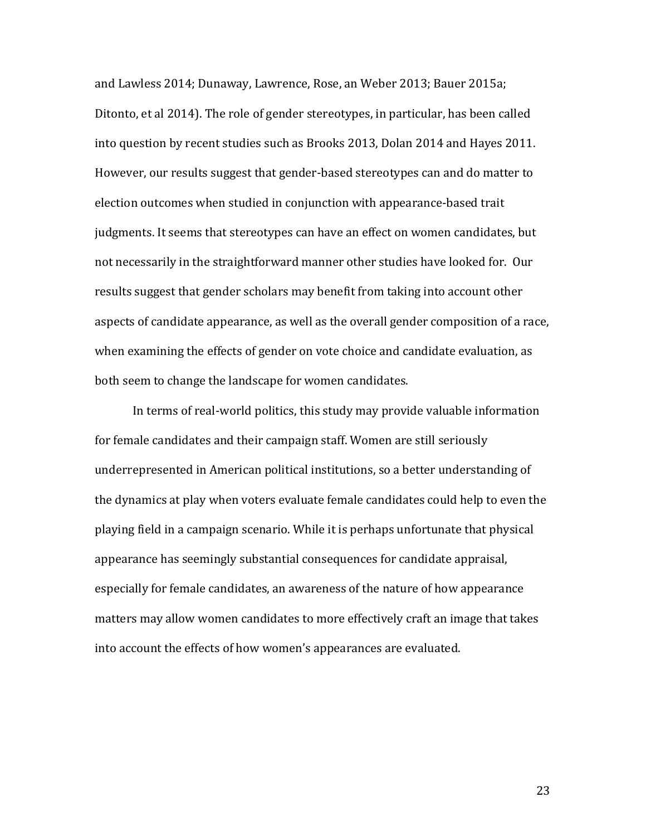and Lawless 2014; Dunaway, Lawrence, Rose, an Weber 2013; Bauer 2015a; Ditonto, et al 2014). The role of gender stereotypes, in particular, has been called into question by recent studies such as Brooks 2013, Dolan 2014 and Hayes 2011. However, our results suggest that gender-based stereotypes can and do matter to election outcomes when studied in conjunction with appearance-based trait judgments. It seems that stereotypes can have an effect on women candidates, but not necessarily in the straightforward manner other studies have looked for. Our results suggest that gender scholars may benefit from taking into account other aspects of candidate appearance, as well as the overall gender composition of a race, when examining the effects of gender on vote choice and candidate evaluation, as both seem to change the landscape for women candidates.

In terms of real-world politics, this study may provide valuable information for female candidates and their campaign staff. Women are still seriously underrepresented in American political institutions, so a better understanding of the dynamics at play when voters evaluate female candidates could help to even the playing field in a campaign scenario. While it is perhaps unfortunate that physical appearance has seemingly substantial consequences for candidate appraisal, especially for female candidates, an awareness of the nature of how appearance matters may allow women candidates to more effectively craft an image that takes into account the effects of how women's appearances are evaluated.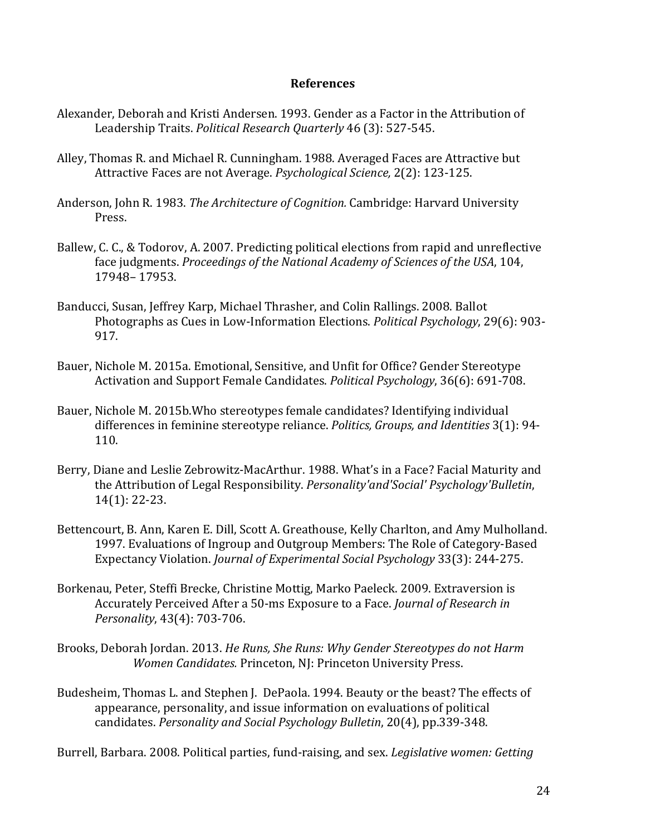## **References**

- Alexander, Deborah and Kristi Andersen. 1993. Gender as a Factor in the Attribution of Leadership Traits. *Political Research Quarterly* 46 (3): 527-545.
- Alley, Thomas R. and Michael R. Cunningham. 1988. Averaged Faces are Attractive but Attractive Faces are not Average. *Psychological Science,* 2(2): 123-125.
- Anderson, John R. 1983. *The Architecture of Cognition.* Cambridge: Harvard University Press.
- Ballew, C. C., & Todorov, A. 2007. Predicting political elections from rapid and unreflective face judgments. *Proceedings of the National Academy of Sciences of the USA*, 104, 17948– 17953.
- Banducci, Susan, Jeffrey Karp, Michael Thrasher, and Colin Rallings. 2008. Ballot Photographs as Cues in Low-Information Elections. *Political Psychology*, 29(6): 903- 917.
- Bauer, Nichole M. 2015a. Emotional, Sensitive, and Unfit for Office? Gender Stereotype Activation and Support Female Candidates. *Political Psychology*, 36(6): 691-708.
- Bauer, Nichole M. 2015b.Who stereotypes female candidates? Identifying individual differences in feminine stereotype reliance. *Politics, Groups, and Identities* 3(1): 94- 110.
- Berry, Diane and Leslie Zebrowitz-MacArthur. 1988. What's in a Face? Facial Maturity and the Attribution of Legal Responsibility. *Personality'and'Social' Psychology'Bulletin*, 14(1): 22-23.
- Bettencourt, B. Ann, Karen E. Dill, Scott A. Greathouse, Kelly Charlton, and Amy Mulholland. 1997. Evaluations of Ingroup and Outgroup Members: The Role of Category-Based Expectancy Violation. *Journal of Experimental Social Psychology* 33(3): 244-275.
- Borkenau, Peter, Steffi Brecke, Christine Mottig, Marko Paeleck. 2009. Extraversion is Accurately Perceived After a 50-ms Exposure to a Face. *Journal of Research in Personality*, 43(4): 703-706.
- Brooks, Deborah Jordan. 2013. *He Runs, She Runs: Why Gender Stereotypes do not Harm Women Candidates.* Princeton, NJ: Princeton University Press.
- Budesheim, Thomas L. and Stephen J. DePaola. 1994. Beauty or the beast? The effects of appearance, personality, and issue information on evaluations of political candidates. *Personality and Social Psychology Bulletin*, 20(4), pp.339-348.

Burrell, Barbara. 2008. Political parties, fund-raising, and sex. *Legislative women: Getting*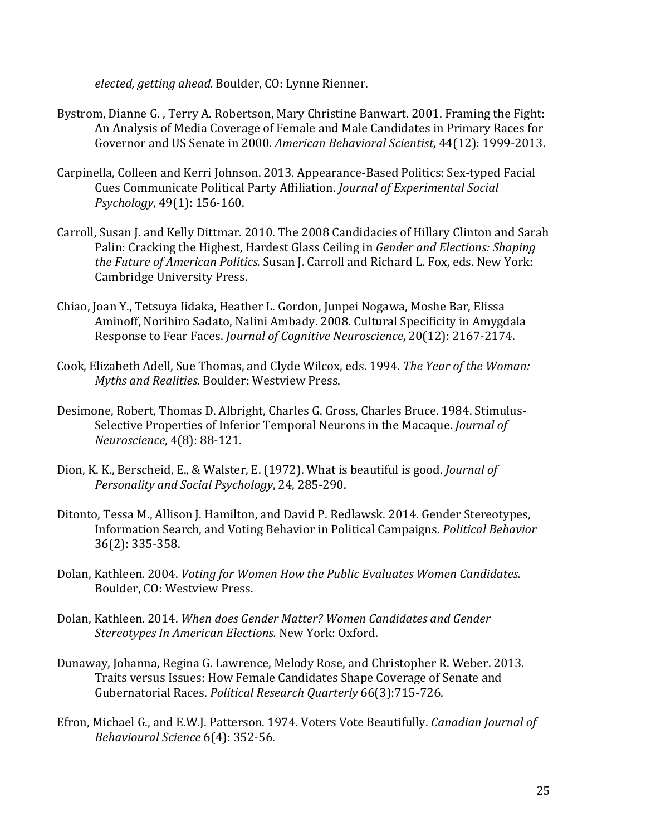*elected, getting ahead.* Boulder, CO: Lynne Rienner.

- Bystrom, Dianne G. , Terry A. Robertson, Mary Christine Banwart. 2001. Framing the Fight: An Analysis of Media Coverage of Female and Male Candidates in Primary Races for Governor and US Senate in 2000. *American Behavioral Scientist*, 44(12): 1999-2013.
- Carpinella, Colleen and Kerri Johnson. 2013. Appearance-Based Politics: Sex-typed Facial Cues Communicate Political Party Affiliation. *Journal of Experimental Social Psychology*, 49(1): 156-160.
- Carroll, Susan J. and Kelly Dittmar. 2010. The 2008 Candidacies of Hillary Clinton and Sarah Palin: Cracking the Highest, Hardest Glass Ceiling in *Gender and Elections: Shaping the Future of American Politics.* Susan J. Carroll and Richard L. Fox, eds. New York: Cambridge University Press.
- Chiao, Joan Y., Tetsuya Iidaka, Heather L. Gordon, Junpei Nogawa, Moshe Bar, Elissa Aminoff, Norihiro Sadato, Nalini Ambady. 2008. Cultural Specificity in Amygdala Response to Fear Faces. *Journal of Cognitive Neuroscience*, 20(12): 2167-2174.
- Cook, Elizabeth Adell, Sue Thomas, and Clyde Wilcox, eds. 1994. *The Year of the Woman: Myths and Realities.* Boulder: Westview Press.
- Desimone, Robert, Thomas D. Albright, Charles G. Gross, Charles Bruce. 1984. Stimulus-Selective Properties of Inferior Temporal Neurons in the Macaque. *Journal of Neuroscience*, 4(8): 88-121.
- Dion, K. K., Berscheid, E., & Walster, E. (1972). What is beautiful is good. *Journal of Personality and Social Psychology*, 24, 285-290.
- Ditonto, Tessa M., Allison J. Hamilton, and David P. Redlawsk. 2014. Gender Stereotypes, Information Search, and Voting Behavior in Political Campaigns. *Political Behavior* 36(2): 335-358.
- Dolan, Kathleen. 2004. *Voting for Women How the Public Evaluates Women Candidates.* Boulder, CO: Westview Press.
- Dolan, Kathleen. 2014. *When does Gender Matter? Women Candidates and Gender Stereotypes In American Elections.* New York: Oxford.
- Dunaway, Johanna, Regina G. Lawrence, Melody Rose, and Christopher R. Weber. 2013. Traits versus Issues: How Female Candidates Shape Coverage of Senate and Gubernatorial Races. *Political Research Quarterly* 66(3):715-726.
- Efron, Michael G., and E.W.J. Patterson. 1974. Voters Vote Beautifully. *Canadian Journal of Behavioural Science* 6(4): 352-56.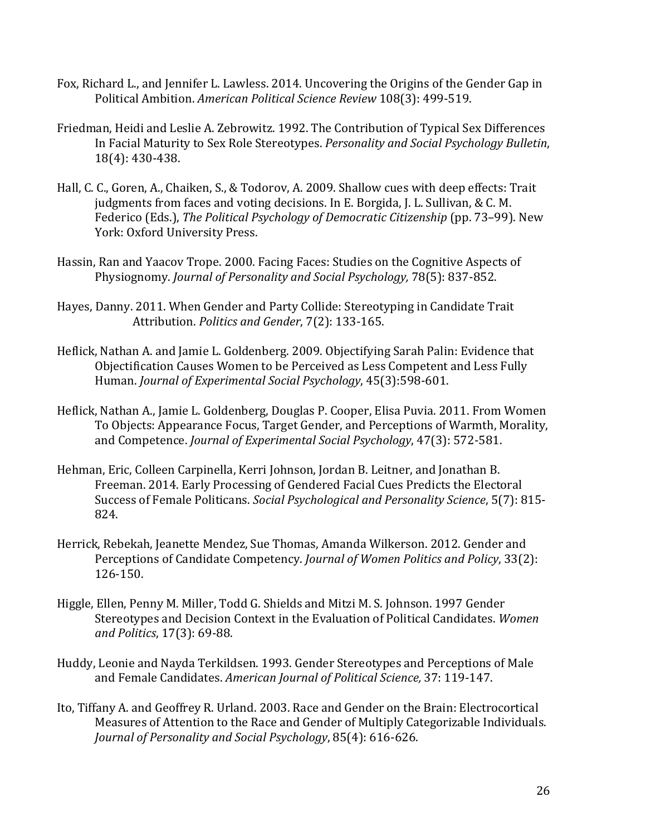- Fox, Richard L., and Jennifer L. Lawless. 2014. Uncovering the Origins of the Gender Gap in Political Ambition. *American Political Science Review* 108(3): 499-519.
- Friedman, Heidi and Leslie A. Zebrowitz. 1992. The Contribution of Typical Sex Differences In Facial Maturity to Sex Role Stereotypes. *Personality and Social Psychology Bulletin*, 18(4): 430-438.
- Hall, C. C., Goren, A., Chaiken, S., & Todorov, A. 2009. Shallow cues with deep effects: Trait judgments from faces and voting decisions. In E. Borgida, J. L. Sullivan, & C. M. Federico (Eds.), *The Political Psychology of Democratic Citizenship* (pp. 73–99). New York: Oxford University Press.
- Hassin, Ran and Yaacov Trope. 2000. Facing Faces: Studies on the Cognitive Aspects of Physiognomy. *Journal of Personality and Social Psychology,* 78(5): 837-852.
- Hayes, Danny. 2011. When Gender and Party Collide: Stereotyping in Candidate Trait Attribution. *Politics and Gender*, 7(2): 133-165.
- Heflick, Nathan A. and Jamie L. Goldenberg. 2009. Objectifying Sarah Palin: Evidence that Objectification Causes Women to be Perceived as Less Competent and Less Fully Human. *Journal of Experimental Social Psychology*, 45(3):598-601.
- Heflick, Nathan A., Jamie L. Goldenberg, Douglas P. Cooper, Elisa Puvia. 2011. From Women To Objects: Appearance Focus, Target Gender, and Perceptions of Warmth, Morality, and Competence. *Journal of Experimental Social Psychology*, 47(3): 572-581.
- Hehman, Eric, Colleen Carpinella, Kerri Johnson, Jordan B. Leitner, and Jonathan B. Freeman. 2014. Early Processing of Gendered Facial Cues Predicts the Electoral Success of Female Politicans. *Social Psychological and Personality Science*, 5(7): 815- 824.
- Herrick, Rebekah, Jeanette Mendez, Sue Thomas, Amanda Wilkerson. 2012. Gender and Perceptions of Candidate Competency. *Journal of Women Politics and Policy*, 33(2): 126-150.
- Higgle, Ellen, Penny M. Miller, Todd G. Shields and Mitzi M. S. Johnson. 1997 Gender Stereotypes and Decision Context in the Evaluation of Political Candidates. *Women and Politics*, 17(3): 69-88.
- Huddy, Leonie and Nayda Terkildsen. 1993. Gender Stereotypes and Perceptions of Male and Female Candidates. *American Journal of Political Science,* 37: 119-147.
- Ito, Tiffany A. and Geoffrey R. Urland. 2003. Race and Gender on the Brain: Electrocortical Measures of Attention to the Race and Gender of Multiply Categorizable Individuals. *Journal of Personality and Social Psychology*, 85(4): 616-626.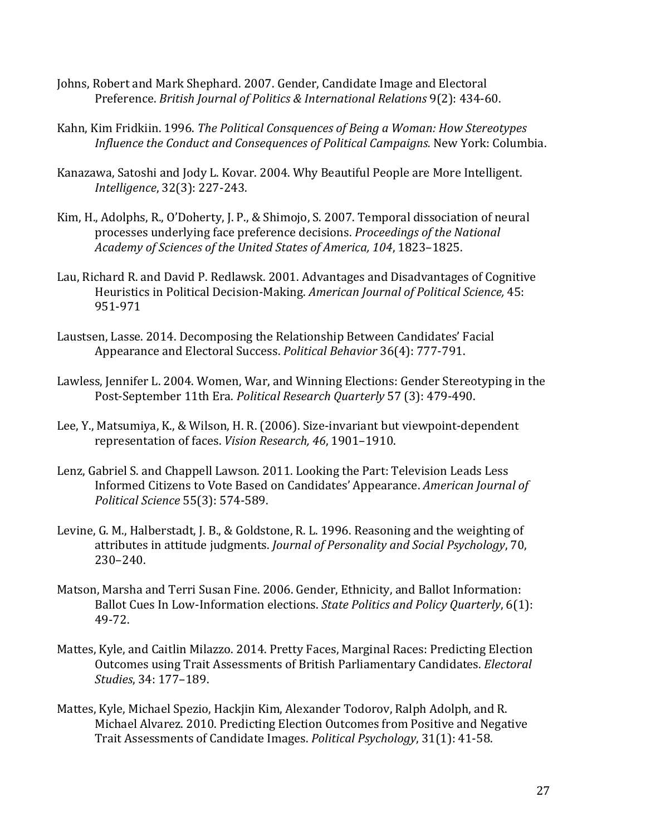- Johns, Robert and Mark Shephard. 2007. Gender, Candidate Image and Electoral Preference. *British Journal of Politics & International Relations* 9(2): 434-60.
- Kahn, Kim Fridkiin. 1996. *The Political Consquences of Being a Woman: How Stereotypes Influence the Conduct and Consequences of Political Campaigns.* New York: Columbia.
- Kanazawa, Satoshi and Jody L. Kovar. 2004. Why Beautiful People are More Intelligent. *Intelligence*, 32(3): 227-243.
- Kim, H., Adolphs, R., O'Doherty, J. P., & Shimojo, S. 2007. Temporal dissociation of neural processes underlying face preference decisions. *Proceedings of the National Academy of Sciences of the United States of America, 104*, 1823–1825.
- Lau, Richard R. and David P. Redlawsk. 2001. Advantages and Disadvantages of Cognitive Heuristics in Political Decision-Making. *American Journal of Political Science,* 45: 951-971
- Laustsen, Lasse. 2014. Decomposing the Relationship Between Candidates' Facial Appearance and Electoral Success. *Political Behavior* 36(4): 777-791.
- Lawless, Jennifer L. 2004. Women, War, and Winning Elections: Gender Stereotyping in the Post-September 11th Era. *Political Research Quarterly* 57 (3): 479-490.
- Lee, Y., Matsumiya, K., & Wilson, H. R. (2006). Size-invariant but viewpoint-dependent representation of faces. *Vision Research, 46*, 1901–1910.
- Lenz, Gabriel S. and Chappell Lawson. 2011. Looking the Part: Television Leads Less Informed Citizens to Vote Based on Candidates' Appearance. *American Journal of Political Science* 55(3): 574-589.
- Levine, G. M., Halberstadt, J. B., & Goldstone, R. L. 1996. Reasoning and the weighting of attributes in attitude judgments. *Journal of Personality and Social Psychology*, 70, 230–240.
- Matson, Marsha and Terri Susan Fine. 2006. Gender, Ethnicity, and Ballot Information: Ballot Cues In Low-Information elections. *State Politics and Policy Quarterly*, 6(1): 49-72.
- Mattes, Kyle, and Caitlin Milazzo. 2014. Pretty Faces, Marginal Races: Predicting Election Outcomes using Trait Assessments of British Parliamentary Candidates. *Electoral Studies*, 34: 177–189.
- Mattes, Kyle, Michael Spezio, Hackjin Kim, Alexander Todorov, Ralph Adolph, and R. Michael Alvarez. 2010. Predicting Election Outcomes from Positive and Negative Trait Assessments of Candidate Images. *Political Psychology*, 31(1): 41-58.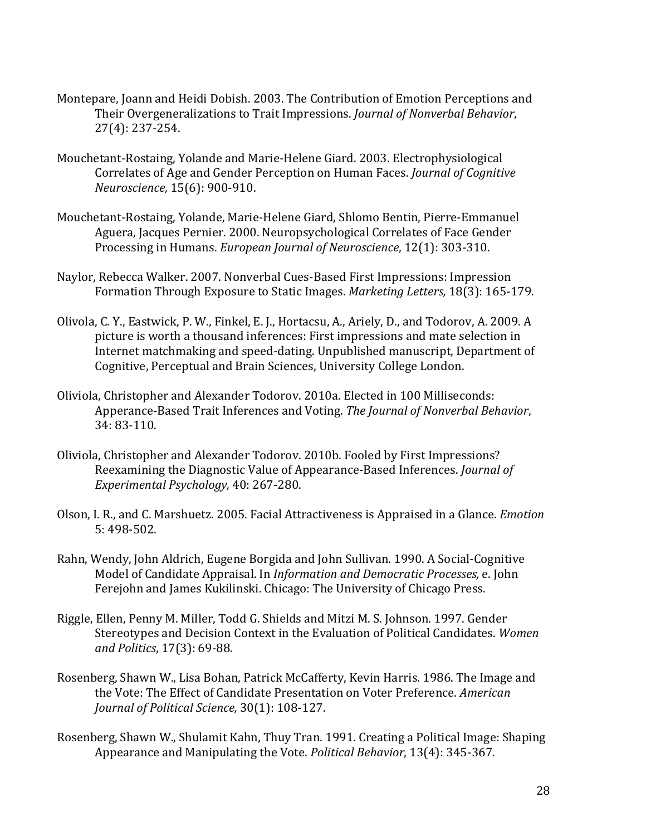- Montepare, Joann and Heidi Dobish. 2003. The Contribution of Emotion Perceptions and Their Overgeneralizations to Trait Impressions. *Journal of Nonverbal Behavior*, 27(4): 237-254.
- Mouchetant-Rostaing, Yolande and Marie-Helene Giard. 2003. Electrophysiological Correlates of Age and Gender Perception on Human Faces. *Journal of Cognitive Neuroscience,* 15(6): 900-910.
- Mouchetant-Rostaing, Yolande, Marie-Helene Giard, Shlomo Bentin, Pierre-Emmanuel Aguera, Jacques Pernier. 2000. Neuropsychological Correlates of Face Gender Processing in Humans. *European Journal of Neuroscience*, 12(1): 303-310.
- Naylor, Rebecca Walker. 2007. Nonverbal Cues-Based First Impressions: Impression Formation Through Exposure to Static Images. *Marketing Letters,* 18(3): 165-179.
- Olivola, C. Y., Eastwick, P. W., Finkel, E. J., Hortacsu, A., Ariely, D., and Todorov, A. 2009. A picture is worth a thousand inferences: First impressions and mate selection in Internet matchmaking and speed-dating. Unpublished manuscript, Department of Cognitive, Perceptual and Brain Sciences, University College London.
- Oliviola, Christopher and Alexander Todorov. 2010a. Elected in 100 Milliseconds: Apperance-Based Trait Inferences and Voting. *The Journal of Nonverbal Behavior*, 34: 83-110.
- Oliviola, Christopher and Alexander Todorov. 2010b. Fooled by First Impressions? Reexamining the Diagnostic Value of Appearance-Based Inferences. *Journal of Experimental Psychology,* 40: 267-280.
- Olson, I. R., and C. Marshuetz. 2005. Facial Attractiveness is Appraised in a Glance. *Emotion* 5: 498-502.
- Rahn, Wendy, John Aldrich, Eugene Borgida and John Sullivan. 1990. A Social-Cognitive Model of Candidate Appraisal. In *Information and Democratic Processes,* e. John Ferejohn and James Kukilinski. Chicago: The University of Chicago Press.
- Riggle, Ellen, Penny M. Miller, Todd G. Shields and Mitzi M. S. Johnson. 1997. Gender Stereotypes and Decision Context in the Evaluation of Political Candidates. *Women and Politics*, 17(3): 69-88.
- Rosenberg, Shawn W., Lisa Bohan, Patrick McCafferty, Kevin Harris. 1986. The Image and the Vote: The Effect of Candidate Presentation on Voter Preference. *American Journal of Political Science,* 30(1): 108-127.
- Rosenberg, Shawn W., Shulamit Kahn, Thuy Tran. 1991. Creating a Political Image: Shaping Appearance and Manipulating the Vote. *Political Behavior*, 13(4): 345-367.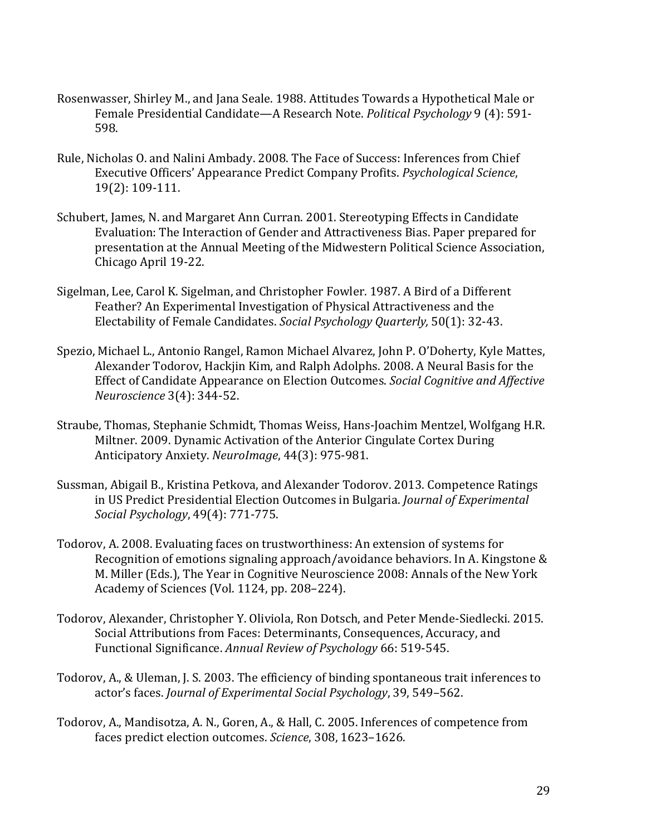- Rosenwasser, Shirley M., and Jana Seale. 1988. Attitudes Towards a Hypothetical Male or Female Presidential Candidate—A Research Note. *Political Psychology* 9 (4): 591- 598.
- Rule, Nicholas O. and Nalini Ambady. 2008. The Face of Success: Inferences from Chief Executive Officers' Appearance Predict Company Profits. *Psychological Science*, 19(2): 109-111.
- Schubert, James, N. and Margaret Ann Curran. 2001. Stereotyping Effects in Candidate Evaluation: The Interaction of Gender and Attractiveness Bias. Paper prepared for presentation at the Annual Meeting of the Midwestern Political Science Association, Chicago April 19-22.
- Sigelman, Lee, Carol K. Sigelman, and Christopher Fowler. 1987. A Bird of a Different Feather? An Experimental Investigation of Physical Attractiveness and the Electability of Female Candidates. *Social Psychology Quarterly,* 50(1): 32-43.
- Spezio, Michael L., Antonio Rangel, Ramon Michael Alvarez, John P. O'Doherty, Kyle Mattes, Alexander Todorov, Hackjin Kim, and Ralph Adolphs. 2008. A Neural Basis for the Effect of Candidate Appearance on Election Outcomes. *Social Cognitive and Affective Neuroscience* 3(4): 344-52.
- Straube, Thomas, Stephanie Schmidt, Thomas Weiss, Hans-Joachim Mentzel, Wolfgang H.R. Miltner. 2009. Dynamic Activation of the Anterior Cingulate Cortex During Anticipatory Anxiety. *NeuroImage*, 44(3): 975-981.
- Sussman, Abigail B., Kristina Petkova, and Alexander Todorov. 2013. Competence Ratings in US Predict Presidential Election Outcomes in Bulgaria. *Journal of Experimental Social Psychology*, 49(4): 771-775.
- Todorov, A. 2008. Evaluating faces on trustworthiness: An extension of systems for Recognition of emotions signaling approach/avoidance behaviors. In A. Kingstone & M. Miller (Eds.), The Year in Cognitive Neuroscience 2008: Annals of the New York Academy of Sciences (Vol. 1124, pp. 208–224).
- Todorov, Alexander, Christopher Y. Oliviola, Ron Dotsch, and Peter Mende-Siedlecki. 2015. Social Attributions from Faces: Determinants, Consequences, Accuracy, and Functional Significance. *Annual Review of Psychology* 66: 519-545.
- Todorov, A., & Uleman, J. S. 2003. The efficiency of binding spontaneous trait inferences to actor's faces. *Journal of Experimental Social Psychology*, 39, 549–562.
- Todorov, A., Mandisotza, A. N., Goren, A., & Hall, C. 2005. Inferences of competence from faces predict election outcomes. *Science*, 308, 1623–1626.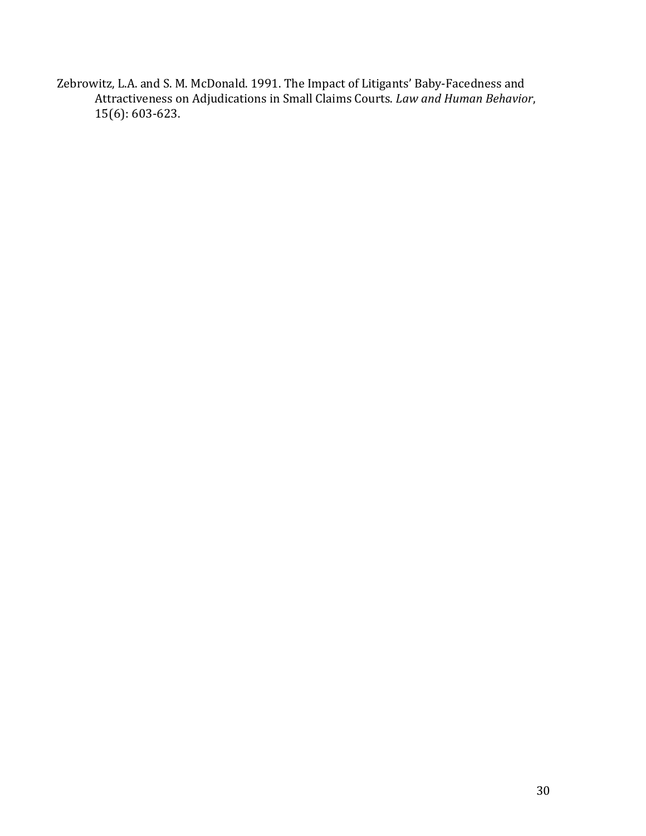Zebrowitz, L.A. and S. M. McDonald. 1991. The Impact of Litigants' Baby-Facedness and Attractiveness on Adjudications in Small Claims Courts. *Law and Human Behavior*, 15(6): 603-623.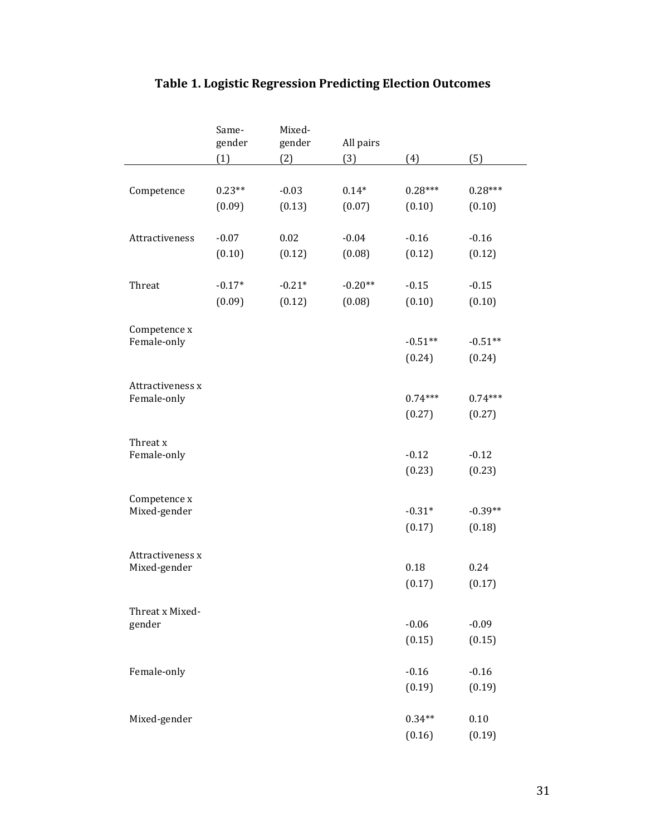| $-0.03$<br>$0.14*$<br>$0.28***$<br>$0.28***$<br>$0.23**$<br>Competence<br>(0.13)<br>(0.07)<br>(0.09)<br>(0.10)<br>(0.10)<br>$-0.07$<br>0.02<br>$-0.04$<br>$-0.16$<br>$-0.16$<br>Attractiveness<br>(0.10)<br>(0.12)<br>(0.08)<br>(0.12)<br>(0.12)<br>$-0.21*$<br>$-0.15$<br>Threat<br>$-0.17*$<br>$-0.15$<br>$-0.20**$<br>(0.09)<br>(0.12)<br>(0.08)<br>(0.10)<br>(0.10)<br>Competence x<br>$-0.51**$<br>Female-only<br>$-0.51**$<br>(0.24)<br>(0.24)<br>Attractiveness x<br>$0.74***$<br>$0.74***$<br>Female-only<br>(0.27)<br>(0.27)<br>Threat x<br>$-0.12$<br>$-0.12$<br>Female-only<br>(0.23)<br>(0.23)<br>Competence x<br>$-0.31*$<br>Mixed-gender<br>$-0.39**$<br>(0.17)<br>(0.18)<br>Attractiveness x<br>0.24<br>Mixed-gender<br>0.18<br>(0.17)<br>(0.17)<br>Threat x Mixed-<br>$-0.06$<br>gender<br>$-0.09$<br>(0.15)<br>(0.15)<br>Female-only<br>$-0.16$<br>$-0.16$<br>(0.19)<br>(0.19) |  | Same-<br>gender | Mixed-<br>gender | All pairs |     |     |
|-------------------------------------------------------------------------------------------------------------------------------------------------------------------------------------------------------------------------------------------------------------------------------------------------------------------------------------------------------------------------------------------------------------------------------------------------------------------------------------------------------------------------------------------------------------------------------------------------------------------------------------------------------------------------------------------------------------------------------------------------------------------------------------------------------------------------------------------------------------------------------------------------|--|-----------------|------------------|-----------|-----|-----|
|                                                                                                                                                                                                                                                                                                                                                                                                                                                                                                                                                                                                                                                                                                                                                                                                                                                                                                 |  | (1)             | (2)              | (3)       | (4) | (5) |
|                                                                                                                                                                                                                                                                                                                                                                                                                                                                                                                                                                                                                                                                                                                                                                                                                                                                                                 |  |                 |                  |           |     |     |
|                                                                                                                                                                                                                                                                                                                                                                                                                                                                                                                                                                                                                                                                                                                                                                                                                                                                                                 |  |                 |                  |           |     |     |
|                                                                                                                                                                                                                                                                                                                                                                                                                                                                                                                                                                                                                                                                                                                                                                                                                                                                                                 |  |                 |                  |           |     |     |
|                                                                                                                                                                                                                                                                                                                                                                                                                                                                                                                                                                                                                                                                                                                                                                                                                                                                                                 |  |                 |                  |           |     |     |
|                                                                                                                                                                                                                                                                                                                                                                                                                                                                                                                                                                                                                                                                                                                                                                                                                                                                                                 |  |                 |                  |           |     |     |
|                                                                                                                                                                                                                                                                                                                                                                                                                                                                                                                                                                                                                                                                                                                                                                                                                                                                                                 |  |                 |                  |           |     |     |
|                                                                                                                                                                                                                                                                                                                                                                                                                                                                                                                                                                                                                                                                                                                                                                                                                                                                                                 |  |                 |                  |           |     |     |
|                                                                                                                                                                                                                                                                                                                                                                                                                                                                                                                                                                                                                                                                                                                                                                                                                                                                                                 |  |                 |                  |           |     |     |
|                                                                                                                                                                                                                                                                                                                                                                                                                                                                                                                                                                                                                                                                                                                                                                                                                                                                                                 |  |                 |                  |           |     |     |
|                                                                                                                                                                                                                                                                                                                                                                                                                                                                                                                                                                                                                                                                                                                                                                                                                                                                                                 |  |                 |                  |           |     |     |
|                                                                                                                                                                                                                                                                                                                                                                                                                                                                                                                                                                                                                                                                                                                                                                                                                                                                                                 |  |                 |                  |           |     |     |
|                                                                                                                                                                                                                                                                                                                                                                                                                                                                                                                                                                                                                                                                                                                                                                                                                                                                                                 |  |                 |                  |           |     |     |
|                                                                                                                                                                                                                                                                                                                                                                                                                                                                                                                                                                                                                                                                                                                                                                                                                                                                                                 |  |                 |                  |           |     |     |
|                                                                                                                                                                                                                                                                                                                                                                                                                                                                                                                                                                                                                                                                                                                                                                                                                                                                                                 |  |                 |                  |           |     |     |
|                                                                                                                                                                                                                                                                                                                                                                                                                                                                                                                                                                                                                                                                                                                                                                                                                                                                                                 |  |                 |                  |           |     |     |
|                                                                                                                                                                                                                                                                                                                                                                                                                                                                                                                                                                                                                                                                                                                                                                                                                                                                                                 |  |                 |                  |           |     |     |
|                                                                                                                                                                                                                                                                                                                                                                                                                                                                                                                                                                                                                                                                                                                                                                                                                                                                                                 |  |                 |                  |           |     |     |
|                                                                                                                                                                                                                                                                                                                                                                                                                                                                                                                                                                                                                                                                                                                                                                                                                                                                                                 |  |                 |                  |           |     |     |
|                                                                                                                                                                                                                                                                                                                                                                                                                                                                                                                                                                                                                                                                                                                                                                                                                                                                                                 |  |                 |                  |           |     |     |
|                                                                                                                                                                                                                                                                                                                                                                                                                                                                                                                                                                                                                                                                                                                                                                                                                                                                                                 |  |                 |                  |           |     |     |
|                                                                                                                                                                                                                                                                                                                                                                                                                                                                                                                                                                                                                                                                                                                                                                                                                                                                                                 |  |                 |                  |           |     |     |
|                                                                                                                                                                                                                                                                                                                                                                                                                                                                                                                                                                                                                                                                                                                                                                                                                                                                                                 |  |                 |                  |           |     |     |
|                                                                                                                                                                                                                                                                                                                                                                                                                                                                                                                                                                                                                                                                                                                                                                                                                                                                                                 |  |                 |                  |           |     |     |
|                                                                                                                                                                                                                                                                                                                                                                                                                                                                                                                                                                                                                                                                                                                                                                                                                                                                                                 |  |                 |                  |           |     |     |
|                                                                                                                                                                                                                                                                                                                                                                                                                                                                                                                                                                                                                                                                                                                                                                                                                                                                                                 |  |                 |                  |           |     |     |
|                                                                                                                                                                                                                                                                                                                                                                                                                                                                                                                                                                                                                                                                                                                                                                                                                                                                                                 |  |                 |                  |           |     |     |
|                                                                                                                                                                                                                                                                                                                                                                                                                                                                                                                                                                                                                                                                                                                                                                                                                                                                                                 |  |                 |                  |           |     |     |
|                                                                                                                                                                                                                                                                                                                                                                                                                                                                                                                                                                                                                                                                                                                                                                                                                                                                                                 |  |                 |                  |           |     |     |
|                                                                                                                                                                                                                                                                                                                                                                                                                                                                                                                                                                                                                                                                                                                                                                                                                                                                                                 |  |                 |                  |           |     |     |
|                                                                                                                                                                                                                                                                                                                                                                                                                                                                                                                                                                                                                                                                                                                                                                                                                                                                                                 |  |                 |                  |           |     |     |
|                                                                                                                                                                                                                                                                                                                                                                                                                                                                                                                                                                                                                                                                                                                                                                                                                                                                                                 |  |                 |                  |           |     |     |
|                                                                                                                                                                                                                                                                                                                                                                                                                                                                                                                                                                                                                                                                                                                                                                                                                                                                                                 |  |                 |                  |           |     |     |
| 0.10<br>Mixed-gender<br>$0.34**$                                                                                                                                                                                                                                                                                                                                                                                                                                                                                                                                                                                                                                                                                                                                                                                                                                                                |  |                 |                  |           |     |     |
| (0.16)<br>(0.19)                                                                                                                                                                                                                                                                                                                                                                                                                                                                                                                                                                                                                                                                                                                                                                                                                                                                                |  |                 |                  |           |     |     |

# **Table 1. Logistic Regression Predicting Election Outcomes**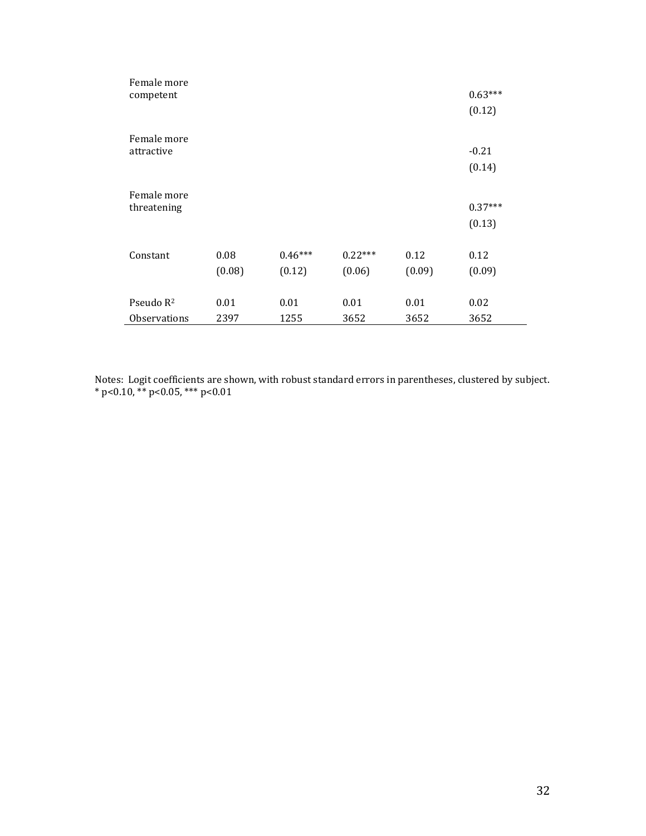| Female more<br>competent              |                |                     |                     |                | $0.63***$<br>(0.12) |
|---------------------------------------|----------------|---------------------|---------------------|----------------|---------------------|
| Female more<br>attractive             |                |                     |                     |                | $-0.21$<br>(0.14)   |
| Female more<br>threatening            |                |                     |                     |                | $0.37***$<br>(0.13) |
| Constant                              | 0.08<br>(0.08) | $0.46***$<br>(0.12) | $0.22***$<br>(0.06) | 0.12<br>(0.09) | 0.12<br>(0.09)      |
| Pseudo R <sup>2</sup><br>Observations | 0.01<br>2397   | 0.01<br>1255        | 0.01<br>3652        | 0.01<br>3652   | 0.02<br>3652        |

Notes: Logit coefficients are shown, with robust standard errors in parentheses, clustered by subject. \* p<0.10, \*\* p<0.05, \*\*\* p<0.01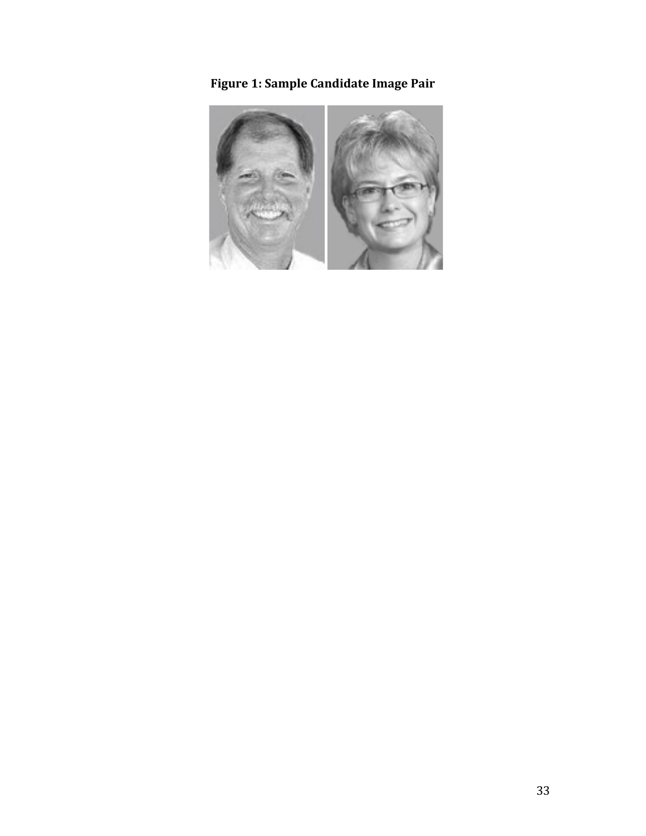**Figure 1: Sample Candidate Image Pair**